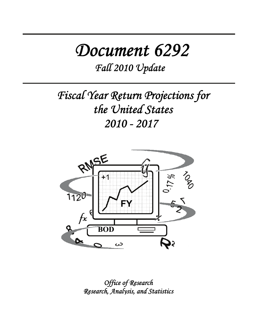# *Document 6292*

*Fall 2010 Update*

*Fiscal Year Return Projections for the United States 2010 - 2017* 



*Office of Research Research, Analysis, and Statistics*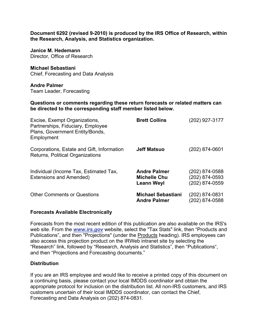**Document 6292 (revised 9-2010) is produced by the IRS Office of Research, within the Research, Analysis, and Statistics organization.** 

**Janice M. Hedemann**  Director, Office of Research

**Michael Sebastiani**  Chief, Forecasting and Data Analysis

**Andre Palmer**  Team Leader, Forecasting

**Questions or comments regarding these return forecasts or related matters can be directed to the corresponding staff member listed below.** 

| Excise, Exempt Organizations,<br>Partnerships, Fiduciary, Employee<br>Plans, Government Entity/Bonds,<br>Employment | <b>Brett Collins</b>                                            | (202) 927-3177                                     |
|---------------------------------------------------------------------------------------------------------------------|-----------------------------------------------------------------|----------------------------------------------------|
| Corporations, Estate and Gift, Information<br>Returns, Political Organizations                                      | <b>Jeff Matsuo</b>                                              | (202) 874-0601                                     |
| Individual (Income Tax, Estimated Tax,<br>Extensions and Amended)                                                   | <b>Andre Palmer</b><br><b>Michelle Chu</b><br><b>Leann Weyl</b> | (202) 874-0588<br>(202) 874-0593<br>(202) 874-0559 |
| <b>Other Comments or Questions</b>                                                                                  | <b>Michael Sebastiani</b><br><b>Andre Palmer</b>                | (202) 874-0831<br>(202) 874-0588                   |

#### **Forecasts Available Electronically**

Forecasts from the most recent edition of this publication are also available on the IRS's web site. From the *www.irs.gov* website, select the "Tax Stats" link, then "Products and Publications", and then "Projections" (under the Products heading). IRS employees can also access this projection product on the IRWeb intranet site by selecting the "Research" link, followed by "Research, Analysis and Statistics", then "Publications", and then "Projections and Forecasting documents."

## **Distribution**

If you are an IRS employee and would like to receive a printed copy of this document on a continuing basis, please contact your local IMDDS coordinator and obtain the appropriate protocol for inclusion on the distribution list. All non-IRS customers, and IRS customers uncertain of their local IMDDS coordinator, can contact the Chief, Forecasting and Data Analysis on (202) 874-0831.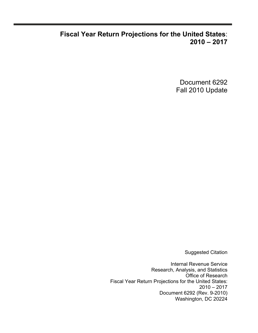## **Fiscal Year Return Projections for the United States**: **2010 – 2017**

Document 6292 Fall 2010 Update

Suggested Citation

Internal Revenue Service Research, Analysis, and Statistics Office of Research Fiscal Year Return Projections for the United States: 2010 – 2017 Document 6292 (Rev. 9-2010) Washington, DC 20224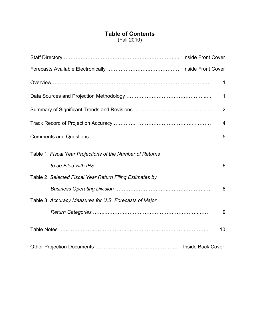## **Table of Contents** (Fall 2010)

|                                                           | 1              |
|-----------------------------------------------------------|----------------|
|                                                           | 1              |
|                                                           | $\overline{2}$ |
|                                                           | 4              |
|                                                           | 5              |
| Table 1. Fiscal Year Projections of the Number of Returns |                |
|                                                           | 6              |
| Table 2. Selected Fiscal Year Return Filing Estimates by  |                |
|                                                           | 8              |
| Table 3. Accuracy Measures for U.S. Forecasts of Major    |                |
|                                                           | 9              |
|                                                           | 10             |
|                                                           |                |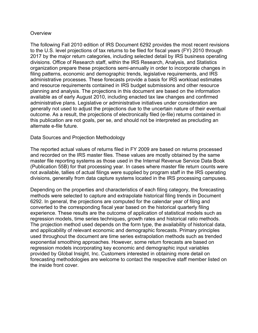#### **Overview**

The following Fall 2010 edition of IRS Document 6292 provides the most recent revisions to the U.S. level projections of tax returns to be filed for fiscal years (FY) 2010 through 2017 by the major return categories, including selected detail by IRS business operating divisions. Office of Research staff, within the IRS Research, Analysis, and Statistics organization prepare these projections semi-annually in order to incorporate changes in filing patterns, economic and demographic trends, legislative requirements, and IRS administrative processes. These forecasts provide a basis for IRS workload estimates and resource requirements contained in IRS budget submissions and other resource planning and analysis. The projections in this document are based on the information available as of early August 2010, including enacted tax law changes and confirmed administrative plans. Legislative or administrative initiatives under consideration are generally not used to adjust the projections due to the uncertain nature of their eventual outcome. As a result, the projections of electronically filed (e-file) returns contained in this publication are not goals, per se, and should not be interpreted as precluding an alternate e-file future.

#### Data Sources and Projection Methodology

The reported actual values of returns filed in FY 2009 are based on returns processed and recorded on the IRS master files. These values are mostly obtained by the same master file reporting systems as those used in the Internal Revenue Service Data Book (Publication 55B) for that processing year. In cases where master file return counts were not available, tallies of actual filings were supplied by program staff in the IRS operating divisions, generally from data capture systems located in the IRS processing campuses.

Depending on the properties and characteristics of each filing category, the forecasting methods were selected to capture and extrapolate historical filing trends in Document 6292. In general, the projections are computed for the calendar year of filing and converted to the corresponding fiscal year based on the historical quarterly filing experience. These results are the outcome of application of statistical models such as regression models, time series techniques, growth rates and historical ratio methods. The projection method used depends on the form type, the availability of historical data, and applicability of relevant economic and demographic forecasts. Primary principles used throughout the document are time series extrapolation methods such as trended exponential smoothing approaches. However, some return forecasts are based on regression models incorporating key economic and demographic input variables provided by Global Insight, Inc. Customers interested in obtaining more detail on forecasting methodologies are welcome to contact the respective staff member listed on the inside front cover.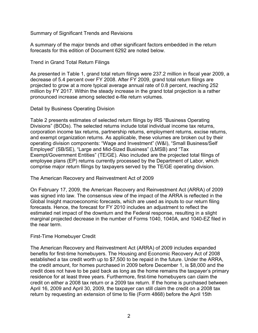Summary of Significant Trends and Revisions

A summary of the major trends and other significant factors embedded in the return forecasts for this edition of Document 6292 are noted below.

Trend in Grand Total Return Filings

As presented in Table 1, grand total return filings were 237.2 million in fiscal year 2009, a decrease of 5.4 percent over FY 2008. After FY 2009, grand total return filings are projected to grow at a more typical average annual rate of 0.8 percent, reaching 252 million by FY 2017. Within the steady increase in the grand total projection is a rather pronounced increase among selected e-file return volumes.

Detail by Business Operating Division

Table 2 presents estimates of selected return filings by IRS "Business Operating Divisions" (BODs). The selected returns include total individual income tax returns, corporation income tax returns, partnership returns, employment returns, excise returns, and exempt organization returns. As applicable, these volumes are broken out by their operating division components: "Wage and Investment" (W&I), "Small Business/Self Employed" (SB/SE), "Large and Mid-Sized Business" (LMSB) and "Tax Exempt/Government Entities" (TE/GE). Also included are the projected total filings of employee plans (EP) returns currently processed by the Department of Labor, which comprise major return filings by taxpayers served by the TE/GE operating division.

The American Recovery and Reinvestment Act of 2009

On February 17, 2009, the American Recovery and Reinvestment Act (ARRA) of 2009 was signed into law. The consensus view of the impact of the ARRA is reflected in the Global Insight macroeconomic forecasts, which are used as inputs to our return filing forecasts. Hence, the forecast for FY 2010 includes an adjustment to reflect the estimated net impact of the downturn and the Federal response, resulting in a slight marginal projected decrease in the number of Forms 1040, 1040A, and 1040-EZ filed in the near term.

## First-Time Homebuyer Credit

The American Recovery and Reinvestment Act (ARRA) of 2009 includes expanded benefits for first-time homebuyers. The Housing and Economic Recovery Act of 2008 established a tax credit worth up to \$7,500 to be repaid in the future. Under the ARRA, the credit amount, for homes purchased in 2009 before December 1, is \$8,000 and the credit does not have to be paid back as long as the home remains the taxpayer's primary residence for at least three years. Furthermore, first-time homebuyers can claim the credit on either a 2008 tax return or a 2009 tax return. If the home is purchased between April 16, 2009 and April 30, 2009, the taxpayer can still claim the credit on a 2008 tax return by requesting an extension of time to file (Form 4868) before the April 15th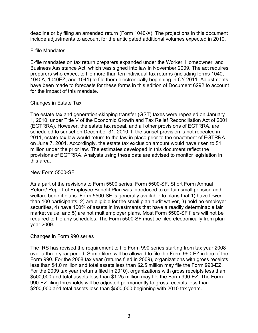deadline or by filing an amended return (Form 1040-X). The projections in this document include adjustments to account for the anticipated additional volumes expected in 2010.

## E-file Mandates

E-file mandates on tax return preparers expanded under the Worker, Homeowner, and Business Assistance Act, which was signed into law in November 2009. The act requires preparers who expect to file more than ten individual tax returns (including forms 1040, 1040A, 1040EZ, and 1041) to file them electronically beginning in CY 2011. Adjustments have been made to forecasts for these forms in this edition of Document 6292 to account for the impact of this mandate.

## Changes in Estate Tax

The estate tax and generation-skipping transfer (GST) taxes were repealed on January 1, 2010, under Title V of the Economic Growth and Tax Relief Reconciliation Act of 2001 (EGTRRA). However, the estate tax repeal, and all other provisions of EGTRRA, are scheduled to sunset on December 31, 2010. If the sunset provision is not repealed in 2011, estate tax law would return to the law in place prior to the enactment of EGTRRA on June 7, 2001. Accordingly, the estate tax exclusion amount would have risen to \$1 million under the prior law. The estimates developed in this document reflect the provisions of EGTRRA. Analysts using these data are advised to monitor legislation in this area.

## New Form 5500-SF

As a part of the revisions to Form 5500 series, Form 5500-SF, Short Form Annual Return/ Report of Employee Benefit Plan was introduced to certain small pension and welfare benefit plans. Form 5500-SF is generally available to plans that 1) have fewer than 100 participants, 2) are eligible for the small plan audit waiver, 3) hold no employer securities, 4) have 100% of assets in investments that have a readily determinable fair market value, and 5) are not multiemployer plans. Most Form 5500-SF filers will not be required to file any schedules. The Form 5500-SF must be filed electronically from plan year 2009.

## Changes in Form 990 series

The IRS has revised the requirement to file Form 990 series starting from tax year 2008 over a three-year period. Some filers will be allowed to file the Form 990-EZ in lieu of the Form 990. For the 2008 tax year (returns filed in 2009), organizations with gross receipts less than \$1.0 million and total assets less than \$2.5 million may file the Form 990-EZ. For the 2009 tax year (returns filed in 2010), organizations with gross receipts less than \$500,000 and total assets less than \$1.25 million may file the Form 990-EZ. The Form 990-EZ filing thresholds will be adjusted permanently to gross receipts less than \$200,000 and total assets less than \$500,000 beginning with 2010 tax years.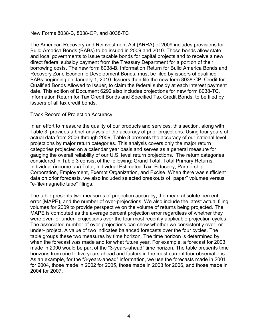#### New Forms 8038-B, 8038-CP, and 8038-TC

The American Recovery and Reinvestment Act (ARRA) of 2009 includes provisions for Build America Bonds (BABs) to be issued in 2009 and 2010. These bonds allow state and local governments to issue taxable bonds for capital projects and to receive a new direct federal subsidy payment from the Treasury Department for a portion of their borrowing costs. The new form 8038-B, Information Return for Build America Bonds and Recovery Zone Economic Development Bonds, must be filed by issuers of qualified BABs beginning on January 1, 2010. Issuers then file the new form 8038-CP, Credit for Qualified Bonds Allowed to Issuer, to claim the federal subsidy at each interest payment date. This edition of Document 6292 also includes projections for new form 8038-TC, Information Return for Tax Credit Bonds and Specified Tax Credit Bonds, to be filed by issuers of all tax credit bonds.

#### Track Record of Projection Accuracy

In an effort to measure the quality of our products and services, this section, along with Table 3, provides a brief analysis of the accuracy of prior projections. Using four years of actual data from 2006 through 2009, Table 3 presents the accuracy of our national level projections by major return categories. This analysis covers only the major return categories projected on a calendar year basis and serves as a general measure for gauging the overall reliability of our U.S. level return projections. The return categories considered in Table 3 consist of the following: Grand Total, Total Primary Returns, Individual (income tax) Total, Individual Estimated Tax, Fiduciary, Partnership, Corporation, Employment, Exempt Organization, and Excise. When there was sufficient data on prior forecasts, we also included selected breakouts of "paper" volumes versus "e-file/magnetic tape" filings.

The table presents two measures of projection accuracy; the mean absolute percent error (MAPE), and the number of over-projections. We also include the latest actual filing volumes for 2009 to provide perspective on the volume of returns being projected. The MAPE is computed as the average percent projection error regardless of whether they were over- or under- projections over the four most recently applicable projection cycles. The associated number of over-projections can show whether we consistently over- or under- project. A value of two indicates balanced forecasts over the four cycles. The table groups these two measures by time horizon. The time horizon is determined by when the forecast was made and for what future year. For example, a forecast for 2003 made in 2000 would be part of the "3-years-ahead" time horizon. The table presents time horizons from one to five years ahead and factors in the most current four observations. As an example, for the "3-years-ahead" information, we use the forecasts made in 2001 for 2004, those made in 2002 for 2005, those made in 2003 for 2006, and those made in 2004 for 2007.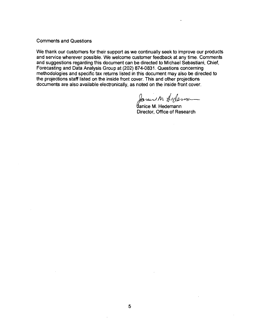**Comments and Questions** 

We thank our customers for their support as we continually seek to improve our products and service wherever possible. We welcome customer feedback at any time. Comments and suggestions regarding this document can be directed to Michael Sebastiani, Chief, Forecasting and Data Analysis Group at (202) 874-0831. Questions concerning methodologies and specific tax returns listed in this document may also be directed to the projections staff listed on the inside front cover. This and other projections documents are also available electronically, as noted on the inside front cover.

Journ Arderna

**Janice M. Hedemann** Director, Office of Research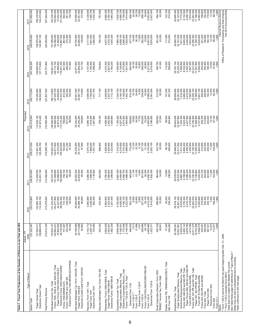| 151,399,200<br>150,256,000<br>31,448,600<br>118,807,300<br>249,576,400<br>108,979,300<br>867,900<br>275,300<br>24,755,900<br>24,626,400<br>3,117,500<br>1,651,000<br>,537,900<br>4,099,100<br>3,566,000<br>1,922,500<br>877,700<br>19,400<br>36,100<br>11,800<br>262,000<br>33,600<br>291,400<br>43,300<br>117,000<br>272,000<br>29,828,700<br>22,151,500<br>7,677,200<br>6,083,200<br>4,439,400<br>1,643,800<br>23,256,300<br>17,235,700<br>6,020,600<br>201,200<br>196,800<br>12,700<br>89,200<br>140,597,100<br>225,540,600<br>103,300<br>129,600<br>1,466,500<br>760,100<br>665,100<br>,391,500<br>676,500<br>184,100<br>,834,200<br>2<br>ທົ<br>$\mathbf{a}$<br>148,710,100<br>32,068,900<br>116,641,200<br>841,900<br>269,300<br>24,971,900<br>24,850,200<br>3,107,000<br>1,708,300<br>2,627,000<br>7,505,600<br>4,129,800<br>3,375,800<br>1,931,500<br>845,500<br>10,800<br>256,000<br>32,800<br>112,200<br>6,032,500<br>4,425,300<br>23,231,000<br>17,291,900<br>5,939,200<br>204,000<br>200,900<br>188,300<br>12,500<br>109,665,500<br>137,773,800<br>149,821,200<br>101,900<br>121,700<br>,410,300<br>18,100<br>35,500<br>5,231,800<br>2,519,500<br>300,700<br>41,300<br>269,600<br>29,762,100<br>22,203,200<br>7,558,900<br>1,607,200<br>247,439,300<br>223,751,800<br>1,398,600<br>728,800<br>148,114,800<br>147,035,700<br>32,608,800<br>14,427,000<br>25,201,500<br>25,087,700<br>1,764,800<br>1,331,700<br>1,537,700<br>29,699,800<br>22,281,500<br>7,418,300<br>5,980,800<br>4,416,000<br>1,564,900<br>23,209,100<br>17,368,000<br>110,250,600<br>134,922,800<br>815,900<br>263,200<br>100,400<br>113,800<br>,096,500<br>,249,800<br>,344,700<br>4,164,100<br>3,180,600<br>,942,100<br>810,300<br>16,700<br>34,900<br>9,300<br>249,800<br>33,000<br>5,068,200<br>361,000<br>312,200<br>39,300<br>107,200<br>267,300<br>5,841,100<br>206,800<br>206,800<br>194,400<br>12,300<br>221,837,000<br>717,100<br>245,173,500<br>$\mathbf{\tilde{N}}$<br>3<br>4<br>$\sim$<br>112, 125, 200<br>789,800<br>257,200<br>25,342,000<br>25,236,200<br>,086,100<br>1,818,200<br>1,267,900<br>089,300<br>2,462,500<br>1,626,800<br>4,207,200<br>2,973,000<br>1,954,600<br>768,800<br>$\begin{array}{c} 15,000 \\ 34,300 \\ 7,700 \end{array}$<br>243,500<br>32,200<br>900,600<br>326,500<br>37,300<br>98,300<br>264,900<br>22,387,900<br>$\begin{array}{l} 7,255,700 \\ 5,923,200 \\ 4,407,500 \\ 4,497,500 \\ 7,515,800 \\ 7,496,200 \\ 1,468,400 \\ 1,468,400 \\ 5,727,800 \end{array}$<br>209,700<br>110,546,100<br>131,873,400<br>219,469,400<br>146,046,500<br>144,999,500<br>32,874,400<br>99,000<br>105,800<br>709,100<br>,180,200<br>,196,500<br>29,643,600<br>242,419,500<br>ຕົ<br>ન. બ<br>4<br>900<br>110,941,300<br>128,295,700<br>142,817,600<br>33,372,000<br>109,445,600<br>763,600<br>200<br>25,239,500<br>25,141,600<br>97,900<br>3,075,700<br>1,868,000<br>928,600<br>,405,000<br>7,019,200<br>4,276,900<br>2,742,200<br>1,969,600<br>716,000<br>13,100<br>33,700<br>6,100<br>237,100<br>31,300<br>4,734,400<br>2,020,100<br>343,700<br>35,500<br>66,700<br>256,600<br>,588,900<br>500<br>7,071,400<br>5,858,400<br>4,398,500<br>,500<br>500<br>,000<br>,600<br>500<br>000<br>500<br>239,237,000<br>216,688,100<br>143,832,400<br>500<br>207,700<br>698,800<br>,523,600<br>29,588,<br>1,459,<br>23, 195, 4<br>17, 595, 4<br>5, 600, 0<br>251,<br>ສີ ສິ ສິ<br>$\overline{8}$<br>57<br>Ξ<br>ത് പ്<br>24,923,300<br>24,833,000<br>112,450,500<br>123,831,100<br>142,073,100<br>141,089,900<br>34,999,000<br>106,090,900<br>29,535,500<br>22,672,300<br>23, 194, 300<br>17, 739, 800<br>236,281,600<br>214,082,600<br>738,100<br>245,100<br>3,065,300<br>1,948,500<br>1,116,900<br>3,760,400<br>2,360,600<br>1,399,800<br>6,887,400<br>4,404,800<br>2,482,700<br>1,988,300<br>645,800<br>33,100<br>4,500<br>231,800<br>30,300<br>592,700<br>364,400<br>34,000<br>14,900<br>238,500<br>6,863,100<br>5,785,800<br>4,388,400<br>1,397,400<br>5,454,500<br>96,000<br>90,300<br>644,800<br>11,100<br>832,300<br>ω.<br>က်လ<br>4.<br>120,692,100<br>114,324,700<br>213,078,600<br>140,477,900<br>42,427,600<br>98,050,300<br>715,100<br>239,200<br>94,500<br>25,084,600<br>24,998,100<br>86,600<br>3,060,900<br>2,208,500<br>852,400<br>424,300<br>3,564,800<br>2,323,300<br>1,241,500<br>4,626,500<br>2,166,100<br>2,022,000<br>552,700<br>9,500<br>32,600<br>2,800<br>227,200<br>29,100<br>4,472,200<br>1,610,500<br>388,900<br>33,200<br>29,200<br>236,200<br>6,676,600<br>5,735,300<br>4,416,700<br>1,318,600<br>23,263,200<br>17,912,400<br>5,350,800<br>218,900<br>252,300<br>245,100<br>7,200<br>106,400<br>235,016,800<br>141,432,200<br>6,792,600<br>29,578,100<br>22,901,400<br>3, 142, 712<br>6,636,410<br>1,273,358<br>18,163,296<br>127,354,417<br>109,868,970<br>215,510,305<br>142,983,431<br>47,852,805<br>95,130,626<br>243,229<br>94,442<br>24,196,680<br>24,113,996<br>542,352<br>3,564,630<br>2,502,301<br>1,062,329<br>6,938,399<br>5,168,351<br>1,770,048<br>2,148,339<br>446,630<br>7,513<br>31,996<br>226,688<br>28,178<br>4,495,685<br>430,339<br>47,320<br>245,262<br>23,551,851<br>5,950,143<br>4,676,785<br>23,511,375<br>5,348,079<br>382,504<br>14,973<br>143,934,147<br>2,349,127<br>793,585<br>30,188,261<br>367,531<br>112,877<br>82,684<br>1.047<br>26,801<br>229,557<br>707,487<br>1,322,371<br>237,223,387<br>Electronic Forms 1040-NR/NR-EZ/C/PR/SS<br>Individual Estimated Tax, Form 1040-ES, Total<br>Paper Form 1040-ES<br>Estate, Forms 706, 706NA/GS(D)/GS(T), Total<br>Forms 1040, 1040-A, and 1040-EZ, Total<br>Paper Forms 1040/1040-A/1040-EZ<br>Paper Forms 940, 940-EZ and 940-PR<br>Forms 1120-FSC/L/ND/PC/REIT/RIC/SF<br>Electronic Forms 1040/1040A/1040EZ<br>Electronic (Credit Card) Form 1040-ES<br>Forms 941, 941-PR and 941-SS, Total<br>Forms 940, 940-EZ and 940-PR, Total<br>Electronic Employment Returns, Total<br>Fiduciary Estimated Tax, Form 1041-ES<br>Corporation Income Tax, Total<br>  Paper Corporation Returns, Total<br>  Electronic Corporation Returns, Total<br>Partnership, Forms 1065/1065-B, Total<br>Small Corporation Election, Form 2553<br>Paper Employment Returns, Total<br>Paper 941, 941-PR/SS, Total<br>Form 940 E-File/On-line/XML<br>Form 941 E-File/On-line/XML<br>Forms 943, 943 PR and 943SS<br>"REMIC" Income Tax, Form 1066<br>Forms 1120 and 1120-A, Total<br>Electronic Forms 1065/1065-B<br>Forms 1040-PR and 1040-SS<br>Paper Forms 1065/1065-B<br>Electronic Form 1120-S<br>Forms 1040-NR/NR-EZ/C<br>Individual Income Tax, Total<br>Electronic Form 1120-F<br>Fiduciary, Form 1041, Total<br>Paper Form 1041<br>Electronic Form 1120<br>Electronic Grand Total<br>Electronic Form 944<br>Electronic Form 1041<br>Employment Tax, Total<br>Total Primary Returns<br>Paper Form 944<br>Paper Grand Total<br>Form 944, Total<br>Form 1120-C**<br>Form 1120-H<br>Form 1120-S<br>Form 1120-F<br>Gift, Form 709<br>Form 945<br>Grand Tota | 23,283,400<br>17,198,400<br>6,085,000<br>198,600<br>192,200<br>179,500<br>12,700<br>1,900<br>Office of Research, Forecasting and Data Analysis<br>Fall 2010 Document 6292<br>Internal Revenue Service<br>1,900<br>91,800<br>008,19<br>94,400<br>1,900<br>215,500<br>203,400<br>12,100<br>97,100<br>1,900<br>00000<br>215,700<br>213,800<br>213,800<br>2000<br>2000<br>2000<br>1,900<br>1,805<br>* Form 1120-A cannot be filed for tax years beginning after Dec. 31, 2006<br>See Table Notes page for definitions of "Type of Return."<br>Detail may not add to subtotal/total due to rounding<br>Table does not contain Non-Master File counts.<br>** Form 1120-C includes Form 990-C<br>Table continues on the next page.<br>Form CT-1<br>Notes: |                | Actual - FY<br>2009 | 2010 | 2011 | 2012 | Projected<br>2013 | 2014 | 2015 | 2016 | 2017                                                                                                                                     |
|---------------------------------------------------------------------------------------------------------------------------------------------------------------------------------------------------------------------------------------------------------------------------------------------------------------------------------------------------------------------------------------------------------------------------------------------------------------------------------------------------------------------------------------------------------------------------------------------------------------------------------------------------------------------------------------------------------------------------------------------------------------------------------------------------------------------------------------------------------------------------------------------------------------------------------------------------------------------------------------------------------------------------------------------------------------------------------------------------------------------------------------------------------------------------------------------------------------------------------------------------------------------------------------------------------------------------------------------------------------------------------------------------------------------------------------------------------------------------------------------------------------------------------------------------------------------------------------------------------------------------------------------------------------------------------------------------------------------------------------------------------------------------------------------------------------------------------------------------------------------------------------------------------------------------------------------------------------------------------------------------------------------------------------------------------------------------------------------------------------------------------------------------------------------------------------------------------------------------------------------------------------------------------------------------------------------------------------------------------------------------------------------------------------------------------------------------------------------------------------------------------------------------------------------------------------------------------------------------------------------------------------------------------------------------------------------------------------------------------------------------------------------------------------------------------------------------------------------------------------------------------------------------------------------------------------------------------------------------------------------------------------------------------------------------------------------------------------------------------------------------------------------------------------------------------------------------------------------------------------------------------------------------------------------------------------------------------------------------------------------------------------------------------------------------------------------------------------------------------------------------------------------------------------------------------------------------------------------------------------------------------------------------------------------------------------------------------------------------------------------------------------------------------------------------------------------------------------------------------------------------------------------------------------------------------------------------------------------------------------------------------------------------------------------------------------------------------------------------------------------------------------------------------------------------------------------------------------------------------------------------------------------------------------------------------------------------------------------------------------------------------------------------------------------------------------------------------------------------------------------------------------------------------------------------------------------------------------------------------------------------------------------------------------------------------------------------------------------------------------------------------------------------------------------------------------------------------------------------------------------------------------------------------------------------------------------------------------------------------------------------------------------------------------------------------------------------------------------------------------------------------------------------------------------------------------------------------------------------------------------------------------------------------------------------------------------------------------------------------------------------------------------------------------------------------------------------------------------------------------------------------------------------------------------------------------------------------------------------------------------------------------------------------------------------------------------------------------------------------------------------------------------------------------------------------------------------------------------------------------------------------------------------------------------------------------------------------------------------------------------------------------------------------------------------------------------------------------------------------------------------------------------------------------------------------------------------------------------------------------------------------------------------------------------------------------------------------------------------------------------------------------------------------------------------------------------------------------------------------------------------------------------------------------------------------------------------------------------------------------------------------------------------------------------------------------------------------------------------------------------------------------------------------------------------------------------------------------------------------------------------------------------------------------------------------------------|----------------------------------------------------------------------------------------------------------------------------------------------------------------------------------------------------------------------------------------------------------------------------------------------------------------------------------------------------------------------------------------------------------------------------------------------------------------------------------------------------------------------------------------------------------------------------------------------------------------------------------------------------------------------------------------------------------------------------------------------------|----------------|---------------------|------|------|------|-------------------|------|------|------|------------------------------------------------------------------------------------------------------------------------------------------|
|                                                                                                                                                                                                                                                                                                                                                                                                                                                                                                                                                                                                                                                                                                                                                                                                                                                                                                                                                                                                                                                                                                                                                                                                                                                                                                                                                                                                                                                                                                                                                                                                                                                                                                                                                                                                                                                                                                                                                                                                                                                                                                                                                                                                                                                                                                                                                                                                                                                                                                                                                                                                                                                                                                                                                                                                                                                                                                                                                                                                                                                                                                                                                                                                                                                                                                                                                                                                                                                                                                                                                                                                                                                                                                                                                                                                                                                                                                                                                                                                                                                                                                                                                                                                                                                                                                                                                                                                                                                                                                                                                                                                                                                                                                                                                                                                                                                                                                                                                                                                                                                                                                                                                                                                                                                                                                                                                                                                                                                                                                                                                                                                                                                                                                                                                                                                                                                                                                                                                                                                                                                                                                                                                                                                                                                                                                                                                                                                                                                                                                                                                                                                                                                                                                                                                                                                                                                                                                                                             |                                                                                                                                                                                                                                                                                                                                                                                                                                                                                                                                                                                                                                                                                                                                                    | Type of Return |                     |      |      |      |                   |      |      |      | 251,950,400                                                                                                                              |
|                                                                                                                                                                                                                                                                                                                                                                                                                                                                                                                                                                                                                                                                                                                                                                                                                                                                                                                                                                                                                                                                                                                                                                                                                                                                                                                                                                                                                                                                                                                                                                                                                                                                                                                                                                                                                                                                                                                                                                                                                                                                                                                                                                                                                                                                                                                                                                                                                                                                                                                                                                                                                                                                                                                                                                                                                                                                                                                                                                                                                                                                                                                                                                                                                                                                                                                                                                                                                                                                                                                                                                                                                                                                                                                                                                                                                                                                                                                                                                                                                                                                                                                                                                                                                                                                                                                                                                                                                                                                                                                                                                                                                                                                                                                                                                                                                                                                                                                                                                                                                                                                                                                                                                                                                                                                                                                                                                                                                                                                                                                                                                                                                                                                                                                                                                                                                                                                                                                                                                                                                                                                                                                                                                                                                                                                                                                                                                                                                                                                                                                                                                                                                                                                                                                                                                                                                                                                                                                                             |                                                                                                                                                                                                                                                                                                                                                                                                                                                                                                                                                                                                                                                                                                                                                    |                |                     |      |      |      |                   |      |      |      | 108,476,900<br>143,473,500                                                                                                               |
|                                                                                                                                                                                                                                                                                                                                                                                                                                                                                                                                                                                                                                                                                                                                                                                                                                                                                                                                                                                                                                                                                                                                                                                                                                                                                                                                                                                                                                                                                                                                                                                                                                                                                                                                                                                                                                                                                                                                                                                                                                                                                                                                                                                                                                                                                                                                                                                                                                                                                                                                                                                                                                                                                                                                                                                                                                                                                                                                                                                                                                                                                                                                                                                                                                                                                                                                                                                                                                                                                                                                                                                                                                                                                                                                                                                                                                                                                                                                                                                                                                                                                                                                                                                                                                                                                                                                                                                                                                                                                                                                                                                                                                                                                                                                                                                                                                                                                                                                                                                                                                                                                                                                                                                                                                                                                                                                                                                                                                                                                                                                                                                                                                                                                                                                                                                                                                                                                                                                                                                                                                                                                                                                                                                                                                                                                                                                                                                                                                                                                                                                                                                                                                                                                                                                                                                                                                                                                                                                             |                                                                                                                                                                                                                                                                                                                                                                                                                                                                                                                                                                                                                                                                                                                                                    |                |                     |      |      |      |                   |      |      |      | 227,544,200                                                                                                                              |
|                                                                                                                                                                                                                                                                                                                                                                                                                                                                                                                                                                                                                                                                                                                                                                                                                                                                                                                                                                                                                                                                                                                                                                                                                                                                                                                                                                                                                                                                                                                                                                                                                                                                                                                                                                                                                                                                                                                                                                                                                                                                                                                                                                                                                                                                                                                                                                                                                                                                                                                                                                                                                                                                                                                                                                                                                                                                                                                                                                                                                                                                                                                                                                                                                                                                                                                                                                                                                                                                                                                                                                                                                                                                                                                                                                                                                                                                                                                                                                                                                                                                                                                                                                                                                                                                                                                                                                                                                                                                                                                                                                                                                                                                                                                                                                                                                                                                                                                                                                                                                                                                                                                                                                                                                                                                                                                                                                                                                                                                                                                                                                                                                                                                                                                                                                                                                                                                                                                                                                                                                                                                                                                                                                                                                                                                                                                                                                                                                                                                                                                                                                                                                                                                                                                                                                                                                                                                                                                                             |                                                                                                                                                                                                                                                                                                                                                                                                                                                                                                                                                                                                                                                                                                                                                    |                |                     |      |      |      |                   |      |      |      | 153,239,700<br>152,064,500<br>31,022,300<br>121,042,200<br>893,900<br>281,300<br>104,700                                                 |
|                                                                                                                                                                                                                                                                                                                                                                                                                                                                                                                                                                                                                                                                                                                                                                                                                                                                                                                                                                                                                                                                                                                                                                                                                                                                                                                                                                                                                                                                                                                                                                                                                                                                                                                                                                                                                                                                                                                                                                                                                                                                                                                                                                                                                                                                                                                                                                                                                                                                                                                                                                                                                                                                                                                                                                                                                                                                                                                                                                                                                                                                                                                                                                                                                                                                                                                                                                                                                                                                                                                                                                                                                                                                                                                                                                                                                                                                                                                                                                                                                                                                                                                                                                                                                                                                                                                                                                                                                                                                                                                                                                                                                                                                                                                                                                                                                                                                                                                                                                                                                                                                                                                                                                                                                                                                                                                                                                                                                                                                                                                                                                                                                                                                                                                                                                                                                                                                                                                                                                                                                                                                                                                                                                                                                                                                                                                                                                                                                                                                                                                                                                                                                                                                                                                                                                                                                                                                                                                                             |                                                                                                                                                                                                                                                                                                                                                                                                                                                                                                                                                                                                                                                                                                                                                    |                |                     |      |      |      |                   |      |      |      | 24,489,000<br>24,351,500<br>137,500                                                                                                      |
|                                                                                                                                                                                                                                                                                                                                                                                                                                                                                                                                                                                                                                                                                                                                                                                                                                                                                                                                                                                                                                                                                                                                                                                                                                                                                                                                                                                                                                                                                                                                                                                                                                                                                                                                                                                                                                                                                                                                                                                                                                                                                                                                                                                                                                                                                                                                                                                                                                                                                                                                                                                                                                                                                                                                                                                                                                                                                                                                                                                                                                                                                                                                                                                                                                                                                                                                                                                                                                                                                                                                                                                                                                                                                                                                                                                                                                                                                                                                                                                                                                                                                                                                                                                                                                                                                                                                                                                                                                                                                                                                                                                                                                                                                                                                                                                                                                                                                                                                                                                                                                                                                                                                                                                                                                                                                                                                                                                                                                                                                                                                                                                                                                                                                                                                                                                                                                                                                                                                                                                                                                                                                                                                                                                                                                                                                                                                                                                                                                                                                                                                                                                                                                                                                                                                                                                                                                                                                                                                             |                                                                                                                                                                                                                                                                                                                                                                                                                                                                                                                                                                                                                                                                                                                                                    |                |                     |      |      |      |                   |      |      |      | 3,128,000<br>1,595,700<br>1,532,300                                                                                                      |
|                                                                                                                                                                                                                                                                                                                                                                                                                                                                                                                                                                                                                                                                                                                                                                                                                                                                                                                                                                                                                                                                                                                                                                                                                                                                                                                                                                                                                                                                                                                                                                                                                                                                                                                                                                                                                                                                                                                                                                                                                                                                                                                                                                                                                                                                                                                                                                                                                                                                                                                                                                                                                                                                                                                                                                                                                                                                                                                                                                                                                                                                                                                                                                                                                                                                                                                                                                                                                                                                                                                                                                                                                                                                                                                                                                                                                                                                                                                                                                                                                                                                                                                                                                                                                                                                                                                                                                                                                                                                                                                                                                                                                                                                                                                                                                                                                                                                                                                                                                                                                                                                                                                                                                                                                                                                                                                                                                                                                                                                                                                                                                                                                                                                                                                                                                                                                                                                                                                                                                                                                                                                                                                                                                                                                                                                                                                                                                                                                                                                                                                                                                                                                                                                                                                                                                                                                                                                                                                                             |                                                                                                                                                                                                                                                                                                                                                                                                                                                                                                                                                                                                                                                                                                                                                    |                |                     |      |      |      |                   |      |      |      | 787,800                                                                                                                                  |
|                                                                                                                                                                                                                                                                                                                                                                                                                                                                                                                                                                                                                                                                                                                                                                                                                                                                                                                                                                                                                                                                                                                                                                                                                                                                                                                                                                                                                                                                                                                                                                                                                                                                                                                                                                                                                                                                                                                                                                                                                                                                                                                                                                                                                                                                                                                                                                                                                                                                                                                                                                                                                                                                                                                                                                                                                                                                                                                                                                                                                                                                                                                                                                                                                                                                                                                                                                                                                                                                                                                                                                                                                                                                                                                                                                                                                                                                                                                                                                                                                                                                                                                                                                                                                                                                                                                                                                                                                                                                                                                                                                                                                                                                                                                                                                                                                                                                                                                                                                                                                                                                                                                                                                                                                                                                                                                                                                                                                                                                                                                                                                                                                                                                                                                                                                                                                                                                                                                                                                                                                                                                                                                                                                                                                                                                                                                                                                                                                                                                                                                                                                                                                                                                                                                                                                                                                                                                                                                                             |                                                                                                                                                                                                                                                                                                                                                                                                                                                                                                                                                                                                                                                                                                                                                    |                |                     |      |      |      |                   |      |      |      | 4,666,300<br>2,783,100<br>1,883,200                                                                                                      |
|                                                                                                                                                                                                                                                                                                                                                                                                                                                                                                                                                                                                                                                                                                                                                                                                                                                                                                                                                                                                                                                                                                                                                                                                                                                                                                                                                                                                                                                                                                                                                                                                                                                                                                                                                                                                                                                                                                                                                                                                                                                                                                                                                                                                                                                                                                                                                                                                                                                                                                                                                                                                                                                                                                                                                                                                                                                                                                                                                                                                                                                                                                                                                                                                                                                                                                                                                                                                                                                                                                                                                                                                                                                                                                                                                                                                                                                                                                                                                                                                                                                                                                                                                                                                                                                                                                                                                                                                                                                                                                                                                                                                                                                                                                                                                                                                                                                                                                                                                                                                                                                                                                                                                                                                                                                                                                                                                                                                                                                                                                                                                                                                                                                                                                                                                                                                                                                                                                                                                                                                                                                                                                                                                                                                                                                                                                                                                                                                                                                                                                                                                                                                                                                                                                                                                                                                                                                                                                                                             |                                                                                                                                                                                                                                                                                                                                                                                                                                                                                                                                                                                                                                                                                                                                                    |                |                     |      |      |      |                   |      |      |      | 7,828,700<br>4,069,700<br>3,759,000<br>1,914,900<br>908,700<br>20,400<br>36,700<br>12,800<br>268,100<br>34,800<br>5,553,800<br>2,837,500 |
|                                                                                                                                                                                                                                                                                                                                                                                                                                                                                                                                                                                                                                                                                                                                                                                                                                                                                                                                                                                                                                                                                                                                                                                                                                                                                                                                                                                                                                                                                                                                                                                                                                                                                                                                                                                                                                                                                                                                                                                                                                                                                                                                                                                                                                                                                                                                                                                                                                                                                                                                                                                                                                                                                                                                                                                                                                                                                                                                                                                                                                                                                                                                                                                                                                                                                                                                                                                                                                                                                                                                                                                                                                                                                                                                                                                                                                                                                                                                                                                                                                                                                                                                                                                                                                                                                                                                                                                                                                                                                                                                                                                                                                                                                                                                                                                                                                                                                                                                                                                                                                                                                                                                                                                                                                                                                                                                                                                                                                                                                                                                                                                                                                                                                                                                                                                                                                                                                                                                                                                                                                                                                                                                                                                                                                                                                                                                                                                                                                                                                                                                                                                                                                                                                                                                                                                                                                                                                                                                             |                                                                                                                                                                                                                                                                                                                                                                                                                                                                                                                                                                                                                                                                                                                                                    |                |                     |      |      |      |                   |      |      |      | 284,100<br>45,300                                                                                                                        |
|                                                                                                                                                                                                                                                                                                                                                                                                                                                                                                                                                                                                                                                                                                                                                                                                                                                                                                                                                                                                                                                                                                                                                                                                                                                                                                                                                                                                                                                                                                                                                                                                                                                                                                                                                                                                                                                                                                                                                                                                                                                                                                                                                                                                                                                                                                                                                                                                                                                                                                                                                                                                                                                                                                                                                                                                                                                                                                                                                                                                                                                                                                                                                                                                                                                                                                                                                                                                                                                                                                                                                                                                                                                                                                                                                                                                                                                                                                                                                                                                                                                                                                                                                                                                                                                                                                                                                                                                                                                                                                                                                                                                                                                                                                                                                                                                                                                                                                                                                                                                                                                                                                                                                                                                                                                                                                                                                                                                                                                                                                                                                                                                                                                                                                                                                                                                                                                                                                                                                                                                                                                                                                                                                                                                                                                                                                                                                                                                                                                                                                                                                                                                                                                                                                                                                                                                                                                                                                                                             |                                                                                                                                                                                                                                                                                                                                                                                                                                                                                                                                                                                                                                                                                                                                                    |                |                     |      |      |      |                   |      |      |      | 122,100<br>274,500                                                                                                                       |
|                                                                                                                                                                                                                                                                                                                                                                                                                                                                                                                                                                                                                                                                                                                                                                                                                                                                                                                                                                                                                                                                                                                                                                                                                                                                                                                                                                                                                                                                                                                                                                                                                                                                                                                                                                                                                                                                                                                                                                                                                                                                                                                                                                                                                                                                                                                                                                                                                                                                                                                                                                                                                                                                                                                                                                                                                                                                                                                                                                                                                                                                                                                                                                                                                                                                                                                                                                                                                                                                                                                                                                                                                                                                                                                                                                                                                                                                                                                                                                                                                                                                                                                                                                                                                                                                                                                                                                                                                                                                                                                                                                                                                                                                                                                                                                                                                                                                                                                                                                                                                                                                                                                                                                                                                                                                                                                                                                                                                                                                                                                                                                                                                                                                                                                                                                                                                                                                                                                                                                                                                                                                                                                                                                                                                                                                                                                                                                                                                                                                                                                                                                                                                                                                                                                                                                                                                                                                                                                                             |                                                                                                                                                                                                                                                                                                                                                                                                                                                                                                                                                                                                                                                                                                                                                    |                |                     |      |      |      |                   |      |      |      | 29,895,400<br>22, 123, 200<br>7, 772, 200<br>6, 132, 500<br>4,458,100<br>1,674,400                                                       |
|                                                                                                                                                                                                                                                                                                                                                                                                                                                                                                                                                                                                                                                                                                                                                                                                                                                                                                                                                                                                                                                                                                                                                                                                                                                                                                                                                                                                                                                                                                                                                                                                                                                                                                                                                                                                                                                                                                                                                                                                                                                                                                                                                                                                                                                                                                                                                                                                                                                                                                                                                                                                                                                                                                                                                                                                                                                                                                                                                                                                                                                                                                                                                                                                                                                                                                                                                                                                                                                                                                                                                                                                                                                                                                                                                                                                                                                                                                                                                                                                                                                                                                                                                                                                                                                                                                                                                                                                                                                                                                                                                                                                                                                                                                                                                                                                                                                                                                                                                                                                                                                                                                                                                                                                                                                                                                                                                                                                                                                                                                                                                                                                                                                                                                                                                                                                                                                                                                                                                                                                                                                                                                                                                                                                                                                                                                                                                                                                                                                                                                                                                                                                                                                                                                                                                                                                                                                                                                                                             |                                                                                                                                                                                                                                                                                                                                                                                                                                                                                                                                                                                                                                                                                                                                                    |                |                     |      |      |      |                   |      |      |      |                                                                                                                                          |
|                                                                                                                                                                                                                                                                                                                                                                                                                                                                                                                                                                                                                                                                                                                                                                                                                                                                                                                                                                                                                                                                                                                                                                                                                                                                                                                                                                                                                                                                                                                                                                                                                                                                                                                                                                                                                                                                                                                                                                                                                                                                                                                                                                                                                                                                                                                                                                                                                                                                                                                                                                                                                                                                                                                                                                                                                                                                                                                                                                                                                                                                                                                                                                                                                                                                                                                                                                                                                                                                                                                                                                                                                                                                                                                                                                                                                                                                                                                                                                                                                                                                                                                                                                                                                                                                                                                                                                                                                                                                                                                                                                                                                                                                                                                                                                                                                                                                                                                                                                                                                                                                                                                                                                                                                                                                                                                                                                                                                                                                                                                                                                                                                                                                                                                                                                                                                                                                                                                                                                                                                                                                                                                                                                                                                                                                                                                                                                                                                                                                                                                                                                                                                                                                                                                                                                                                                                                                                                                                             |                                                                                                                                                                                                                                                                                                                                                                                                                                                                                                                                                                                                                                                                                                                                                    |                |                     |      |      |      |                   |      |      |      |                                                                                                                                          |
|                                                                                                                                                                                                                                                                                                                                                                                                                                                                                                                                                                                                                                                                                                                                                                                                                                                                                                                                                                                                                                                                                                                                                                                                                                                                                                                                                                                                                                                                                                                                                                                                                                                                                                                                                                                                                                                                                                                                                                                                                                                                                                                                                                                                                                                                                                                                                                                                                                                                                                                                                                                                                                                                                                                                                                                                                                                                                                                                                                                                                                                                                                                                                                                                                                                                                                                                                                                                                                                                                                                                                                                                                                                                                                                                                                                                                                                                                                                                                                                                                                                                                                                                                                                                                                                                                                                                                                                                                                                                                                                                                                                                                                                                                                                                                                                                                                                                                                                                                                                                                                                                                                                                                                                                                                                                                                                                                                                                                                                                                                                                                                                                                                                                                                                                                                                                                                                                                                                                                                                                                                                                                                                                                                                                                                                                                                                                                                                                                                                                                                                                                                                                                                                                                                                                                                                                                                                                                                                                             |                                                                                                                                                                                                                                                                                                                                                                                                                                                                                                                                                                                                                                                                                                                                                    |                |                     |      |      |      |                   |      |      |      | 86,700                                                                                                                                   |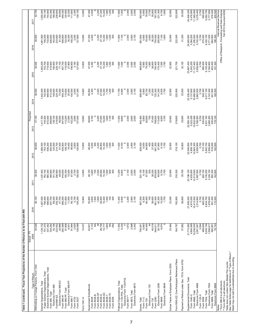| $\circ$<br>23,687,400<br>5,242,200<br>11,127,400<br>1,463,200<br>743,700<br>719,500<br>419,900<br>156,900<br>229,100<br>77,100<br>457,700<br>119,000<br>27,800<br>106,900<br>3,100<br>13,800<br>47,000<br>4,300<br>2,200<br>27,100<br>10,200<br>1,800<br>1,200<br>300<br>11,600<br>7,000<br>2,000<br>2,600<br>2,000<br>869,800<br>5,900<br>79,300<br>1,800<br>36,600<br>740,400<br>170,400<br>7,500<br>1,700<br>32,100<br>2,938,800<br>3,700<br>560,400<br>6,100,400<br>2,764,900<br>653,400<br>191,300<br>39,000<br>127,600<br>22,900<br>221,700<br>2,000<br>2,800<br>2,100<br>,442,400<br>742,500<br>699,900<br>413,300<br>3,000<br>46,900<br>27,000<br>10,200<br>1,700<br>1,200<br>300<br>11,700<br>6,900<br>856,900<br>5,900<br>80,700<br>37,000<br>33,000<br>23,336,400<br>5,137,600<br>10,990,900<br>2,862,500<br>3,700<br>545,300<br>6,017,100<br>2,743,300<br>641,900<br>148,600<br>224,300<br>72,000<br>454,300<br>115,600<br>25,000<br>104,500<br>127,300<br>13,800<br>4,300<br>2,200<br>1,200<br>725,300<br>141,200<br>8,000<br>1,700<br>22,900<br>220,900<br>185,000<br>38,000<br>1,417,700<br>745,300<br>672,400<br>406,800<br>138,100<br>219,500<br>65,500<br>447,000<br>112,200<br>21,800<br>2,900<br>46,600<br>2,200<br>27,000<br>10,200<br>1,600<br>6,800<br>$\circ$<br>2,000<br>2,600<br>2,000<br>842,400<br>700<br>113,400<br>8,500<br>5,022,000<br>10,832,800<br>2,766,500<br>3,700<br>530,200<br>5,931,100<br>2,685,200<br>630,400<br>37,100<br>102,200<br>127,000<br>13,800<br>4,100<br>1,100<br>300<br>11,400<br>5,900<br>82,600<br>37,400<br>708,000<br>1,700<br>22,900<br>219,600<br>33,900<br>22,950,100<br>176,100<br>2,800<br>4,908,100<br>1,389,300<br>753,100<br>636,200<br>400,500<br>124,500<br>214,700<br>57,400<br>435,900<br>108,700<br>18,400<br>99,800<br>2,800<br>126,800<br>13,800<br>46,500<br>4,000<br>2,200<br>26,900<br>10,300<br>1,600<br>1,000<br>11,500<br>6,700<br>$\circ$<br>2,000<br>2,100<br>829,000<br>6,000<br>84,800<br>37,800<br>691,300<br>87,900<br>9,100<br>1,700<br>22,900<br>218,100<br>34,800<br>548,900<br>10,663,300<br>2,659,900<br>3,700<br>515,100<br>5,840,700<br>2,556,800<br>618,000<br>162,600<br>36,600<br>300<br>300<br>400<br>ର୍<br>2,100<br>22, 199, 100<br>4,833,800<br>10,513,000<br>500,100<br>1,337,400<br>752,100<br>585,300<br>348,900<br>101,700<br>236,900<br>49,000<br>105,300<br>15,000<br>97,500<br>2,700<br> 26,500<br>13,800<br>3,800<br>700<br>2,000<br>26,900<br>10,300<br>1,500<br>600<br>300<br>11,200<br>6,600<br>c<br>2,600<br>2,000<br>821,100<br>6,100<br>87,500<br>200<br>38,200<br>679,600<br>65,600<br>9,700<br>1,700<br>35,700<br>2,567,900<br>3,700<br>5,743,200<br>2,324,100<br>605,300<br>36,400<br>419,600<br>46,100<br>22,900<br>216,300<br>142,600<br>11,400<br>126,200<br>13,800<br>3,600<br>300<br>2,800<br>2,100<br>807,200<br>1,700<br>4,810,000<br>10,413,500<br>36,100<br>1,287,000<br>257,700<br>69,200<br>335,300<br>$\begin{array}{r} 47,700 \\ 368,200 \\ 101,800 \\ 1,500 \end{array}$<br>95,100<br>2,700<br>45,800<br>1,500<br>1,600<br>6,500<br>2,200<br>6,300<br>90,400<br>38,600<br>661,400<br>45,300<br>10,500<br>23,000<br>192,800<br>36,600<br>21,938,200<br>2,514,800<br>3,700<br>485,000<br>5,634,700<br>1,978,600<br>591,400<br>115,500<br>790,400<br>496,600<br>26,800<br>10,400<br>1,500<br>$\frac{100}{2}$<br>$\circ$<br>100<br>2,998<br>35,028<br>1,128,732<br>91,994<br>2,620<br>3,133<br>1,663<br>11,300<br>6,330<br>1,972<br>8,974<br>37,982<br>21,713,082<br>4,904,569<br>79,743<br>337,362<br>54,106<br>128,089<br>14,537<br>ౢ<br>26,708<br>≨<br>282<br>2,342<br>6,893<br>94,455<br>44<br>40,018<br>26,702<br>23,484<br>164,787<br>10,238,630<br>3,594<br>469,649<br>5,535,749<br>1,558,817<br>334,282<br>24,866<br>250,389<br>97,806<br>42,601<br>≨<br>794,951<br>560,891<br>223,552<br>10,777<br>644,611<br>2,291,847<br>8,001<br>Form 5500-EZ, One-Participant Retirement Plans<br>Payment or Refund under Sec. 7519, Form 8752<br>Excise Taxes re Employee Plans, Form 5330<br>Withholding on Foreign Persons, Form 1042<br>Electronic Exempt Organizations, Total<br>Paper Exempt Organizations, Total<br>Supplemental Documents, Total<br>Electronic Form 1120-POL<br>* Form 990-N is all electronic.<br>Electronic Form 990-PF<br>Political Organizations, Total<br>Electronic Form 990-EZ<br>Exempt Organizations, Total<br>Electronic Form 2290<br>Electronic Form 7004<br>Electronic Form 4868<br>Electronic Form 8868<br>Electronic Form 8872<br>Electronic Form 8849<br>Government Entity/Bonds<br>Electronic Form 990<br>Electronic Form 720<br>Form 1120-POL, Total<br>Form 990-N*<br>Form 990-PF, Total<br>Form 8872, Total<br>Form 7004, Total<br>Form 8868, Total<br>Form 4868, Total<br>Form 990, Total<br>Form 8038-GC<br>Form 8038-CP<br>Form 8038-TC<br>Form 8038-G<br>Form 8038-B<br>Form 1120-X<br>Form 8038-T<br>Form 1040-X<br>Form990-EZ<br>Form 8871**<br>Form 990-T<br>Form 4720<br>Form 8328<br>Form 2290<br>Form 8849<br>Form 5558<br>Form 8038<br>Form 5227<br>Form 1041-A<br>Excise, Total<br>Form 11-C<br>Form 720<br>Form 730<br>Notes: | Type of Return                 | Actual - FY<br>2009 | 2010 | 2011 | 2012 | Projected<br>2013 | 2014 | 2015 | 2016                                                                         | 2017                         |
|-----------------------------------------------------------------------------------------------------------------------------------------------------------------------------------------------------------------------------------------------------------------------------------------------------------------------------------------------------------------------------------------------------------------------------------------------------------------------------------------------------------------------------------------------------------------------------------------------------------------------------------------------------------------------------------------------------------------------------------------------------------------------------------------------------------------------------------------------------------------------------------------------------------------------------------------------------------------------------------------------------------------------------------------------------------------------------------------------------------------------------------------------------------------------------------------------------------------------------------------------------------------------------------------------------------------------------------------------------------------------------------------------------------------------------------------------------------------------------------------------------------------------------------------------------------------------------------------------------------------------------------------------------------------------------------------------------------------------------------------------------------------------------------------------------------------------------------------------------------------------------------------------------------------------------------------------------------------------------------------------------------------------------------------------------------------------------------------------------------------------------------------------------------------------------------------------------------------------------------------------------------------------------------------------------------------------------------------------------------------------------------------------------------------------------------------------------------------------------------------------------------------------------------------------------------------------------------------------------------------------------------------------------------------------------------------------------------------------------------------------------------------------------------------------------------------------------------------------------------------------------------------------------------------------------------------------------------------------------------------------------------------------------------------------------------------------------------------------------------------------------------------------------------------------------------------------------------------------------------------------------------------------------------------------------------------------------------------------------------------------------------------------------------------------------------------------------------------------------------------------------------------------------------------------------------------------------------------------------------------------------------------------------------------------------------------------------------------------------------------------------------------------------------------------------------------------------------------------------------------------------------------------------------------------------------------------------------------------------------------------------------------------------------------------------------------------------------------------------------------------------------------------------------------------------------------------------------------------------------------------------------------------------------------------------------------------------------------------------------------------------------------------------------------------------------------------------------------------------------------------------------------------------------------------------------------------------------------------------------------------------------------------------------------------------------------------------------------------------------------------------------------------------------------------------------------------------------------------------------------------------------------------------------------------------------------------------------------------------------------------------------------------------------------------------------------------------------------------------------------|--------------------------------|---------------------|------|------|------|-------------------|------|------|------------------------------------------------------------------------------|------------------------------|
|                                                                                                                                                                                                                                                                                                                                                                                                                                                                                                                                                                                                                                                                                                                                                                                                                                                                                                                                                                                                                                                                                                                                                                                                                                                                                                                                                                                                                                                                                                                                                                                                                                                                                                                                                                                                                                                                                                                                                                                                                                                                                                                                                                                                                                                                                                                                                                                                                                                                                                                                                                                                                                                                                                                                                                                                                                                                                                                                                                                                                                                                                                                                                                                                                                                                                                                                                                                                                                                                                                                                                                                                                                                                                                                                                                                                                                                                                                                                                                                                                                                                                                                                                                                                                                                                                                                                                                                                                                                                                                                                                                                                                                                                                                                                                                                                                                                                                                                                                                                                                                                                                                                 |                                |                     |      |      |      |                   |      |      | 39,900                                                                       | 40,700                       |
|                                                                                                                                                                                                                                                                                                                                                                                                                                                                                                                                                                                                                                                                                                                                                                                                                                                                                                                                                                                                                                                                                                                                                                                                                                                                                                                                                                                                                                                                                                                                                                                                                                                                                                                                                                                                                                                                                                                                                                                                                                                                                                                                                                                                                                                                                                                                                                                                                                                                                                                                                                                                                                                                                                                                                                                                                                                                                                                                                                                                                                                                                                                                                                                                                                                                                                                                                                                                                                                                                                                                                                                                                                                                                                                                                                                                                                                                                                                                                                                                                                                                                                                                                                                                                                                                                                                                                                                                                                                                                                                                                                                                                                                                                                                                                                                                                                                                                                                                                                                                                                                                                                                 |                                |                     |      |      |      |                   |      |      | 1,481,900                                                                    | 1,500,000                    |
|                                                                                                                                                                                                                                                                                                                                                                                                                                                                                                                                                                                                                                                                                                                                                                                                                                                                                                                                                                                                                                                                                                                                                                                                                                                                                                                                                                                                                                                                                                                                                                                                                                                                                                                                                                                                                                                                                                                                                                                                                                                                                                                                                                                                                                                                                                                                                                                                                                                                                                                                                                                                                                                                                                                                                                                                                                                                                                                                                                                                                                                                                                                                                                                                                                                                                                                                                                                                                                                                                                                                                                                                                                                                                                                                                                                                                                                                                                                                                                                                                                                                                                                                                                                                                                                                                                                                                                                                                                                                                                                                                                                                                                                                                                                                                                                                                                                                                                                                                                                                                                                                                                                 |                                |                     |      |      |      |                   |      |      | 748,200                                                                      | 755,100<br>744,900           |
|                                                                                                                                                                                                                                                                                                                                                                                                                                                                                                                                                                                                                                                                                                                                                                                                                                                                                                                                                                                                                                                                                                                                                                                                                                                                                                                                                                                                                                                                                                                                                                                                                                                                                                                                                                                                                                                                                                                                                                                                                                                                                                                                                                                                                                                                                                                                                                                                                                                                                                                                                                                                                                                                                                                                                                                                                                                                                                                                                                                                                                                                                                                                                                                                                                                                                                                                                                                                                                                                                                                                                                                                                                                                                                                                                                                                                                                                                                                                                                                                                                                                                                                                                                                                                                                                                                                                                                                                                                                                                                                                                                                                                                                                                                                                                                                                                                                                                                                                                                                                                                                                                                                 |                                |                     |      |      |      |                   |      |      |                                                                              | 433,300<br>168,900           |
|                                                                                                                                                                                                                                                                                                                                                                                                                                                                                                                                                                                                                                                                                                                                                                                                                                                                                                                                                                                                                                                                                                                                                                                                                                                                                                                                                                                                                                                                                                                                                                                                                                                                                                                                                                                                                                                                                                                                                                                                                                                                                                                                                                                                                                                                                                                                                                                                                                                                                                                                                                                                                                                                                                                                                                                                                                                                                                                                                                                                                                                                                                                                                                                                                                                                                                                                                                                                                                                                                                                                                                                                                                                                                                                                                                                                                                                                                                                                                                                                                                                                                                                                                                                                                                                                                                                                                                                                                                                                                                                                                                                                                                                                                                                                                                                                                                                                                                                                                                                                                                                                                                                 |                                |                     |      |      |      |                   |      |      | $733,800$<br>$426,600$<br>$463,500$<br>$163,800$<br>$233,800$<br>$81,200$    | 238,600<br>84,600            |
|                                                                                                                                                                                                                                                                                                                                                                                                                                                                                                                                                                                                                                                                                                                                                                                                                                                                                                                                                                                                                                                                                                                                                                                                                                                                                                                                                                                                                                                                                                                                                                                                                                                                                                                                                                                                                                                                                                                                                                                                                                                                                                                                                                                                                                                                                                                                                                                                                                                                                                                                                                                                                                                                                                                                                                                                                                                                                                                                                                                                                                                                                                                                                                                                                                                                                                                                                                                                                                                                                                                                                                                                                                                                                                                                                                                                                                                                                                                                                                                                                                                                                                                                                                                                                                                                                                                                                                                                                                                                                                                                                                                                                                                                                                                                                                                                                                                                                                                                                                                                                                                                                                                 |                                |                     |      |      |      |                   |      |      |                                                                              |                              |
|                                                                                                                                                                                                                                                                                                                                                                                                                                                                                                                                                                                                                                                                                                                                                                                                                                                                                                                                                                                                                                                                                                                                                                                                                                                                                                                                                                                                                                                                                                                                                                                                                                                                                                                                                                                                                                                                                                                                                                                                                                                                                                                                                                                                                                                                                                                                                                                                                                                                                                                                                                                                                                                                                                                                                                                                                                                                                                                                                                                                                                                                                                                                                                                                                                                                                                                                                                                                                                                                                                                                                                                                                                                                                                                                                                                                                                                                                                                                                                                                                                                                                                                                                                                                                                                                                                                                                                                                                                                                                                                                                                                                                                                                                                                                                                                                                                                                                                                                                                                                                                                                                                                 |                                |                     |      |      |      |                   |      |      | 458,800<br>122,500<br>30,200                                                 | 459,300<br>125,900<br>32,200 |
|                                                                                                                                                                                                                                                                                                                                                                                                                                                                                                                                                                                                                                                                                                                                                                                                                                                                                                                                                                                                                                                                                                                                                                                                                                                                                                                                                                                                                                                                                                                                                                                                                                                                                                                                                                                                                                                                                                                                                                                                                                                                                                                                                                                                                                                                                                                                                                                                                                                                                                                                                                                                                                                                                                                                                                                                                                                                                                                                                                                                                                                                                                                                                                                                                                                                                                                                                                                                                                                                                                                                                                                                                                                                                                                                                                                                                                                                                                                                                                                                                                                                                                                                                                                                                                                                                                                                                                                                                                                                                                                                                                                                                                                                                                                                                                                                                                                                                                                                                                                                                                                                                                                 |                                |                     |      |      |      |                   |      |      | 109,200                                                                      | 111,600<br>3,300             |
|                                                                                                                                                                                                                                                                                                                                                                                                                                                                                                                                                                                                                                                                                                                                                                                                                                                                                                                                                                                                                                                                                                                                                                                                                                                                                                                                                                                                                                                                                                                                                                                                                                                                                                                                                                                                                                                                                                                                                                                                                                                                                                                                                                                                                                                                                                                                                                                                                                                                                                                                                                                                                                                                                                                                                                                                                                                                                                                                                                                                                                                                                                                                                                                                                                                                                                                                                                                                                                                                                                                                                                                                                                                                                                                                                                                                                                                                                                                                                                                                                                                                                                                                                                                                                                                                                                                                                                                                                                                                                                                                                                                                                                                                                                                                                                                                                                                                                                                                                                                                                                                                                                                 |                                |                     |      |      |      |                   |      |      | 3,200<br>127,800                                                             | 128,100                      |
|                                                                                                                                                                                                                                                                                                                                                                                                                                                                                                                                                                                                                                                                                                                                                                                                                                                                                                                                                                                                                                                                                                                                                                                                                                                                                                                                                                                                                                                                                                                                                                                                                                                                                                                                                                                                                                                                                                                                                                                                                                                                                                                                                                                                                                                                                                                                                                                                                                                                                                                                                                                                                                                                                                                                                                                                                                                                                                                                                                                                                                                                                                                                                                                                                                                                                                                                                                                                                                                                                                                                                                                                                                                                                                                                                                                                                                                                                                                                                                                                                                                                                                                                                                                                                                                                                                                                                                                                                                                                                                                                                                                                                                                                                                                                                                                                                                                                                                                                                                                                                                                                                                                 |                                |                     |      |      |      |                   |      |      | 13,800                                                                       | 13,800                       |
|                                                                                                                                                                                                                                                                                                                                                                                                                                                                                                                                                                                                                                                                                                                                                                                                                                                                                                                                                                                                                                                                                                                                                                                                                                                                                                                                                                                                                                                                                                                                                                                                                                                                                                                                                                                                                                                                                                                                                                                                                                                                                                                                                                                                                                                                                                                                                                                                                                                                                                                                                                                                                                                                                                                                                                                                                                                                                                                                                                                                                                                                                                                                                                                                                                                                                                                                                                                                                                                                                                                                                                                                                                                                                                                                                                                                                                                                                                                                                                                                                                                                                                                                                                                                                                                                                                                                                                                                                                                                                                                                                                                                                                                                                                                                                                                                                                                                                                                                                                                                                                                                                                                 |                                |                     |      |      |      |                   |      |      | 47,200                                                                       | 47,400                       |
|                                                                                                                                                                                                                                                                                                                                                                                                                                                                                                                                                                                                                                                                                                                                                                                                                                                                                                                                                                                                                                                                                                                                                                                                                                                                                                                                                                                                                                                                                                                                                                                                                                                                                                                                                                                                                                                                                                                                                                                                                                                                                                                                                                                                                                                                                                                                                                                                                                                                                                                                                                                                                                                                                                                                                                                                                                                                                                                                                                                                                                                                                                                                                                                                                                                                                                                                                                                                                                                                                                                                                                                                                                                                                                                                                                                                                                                                                                                                                                                                                                                                                                                                                                                                                                                                                                                                                                                                                                                                                                                                                                                                                                                                                                                                                                                                                                                                                                                                                                                                                                                                                                                 |                                |                     |      |      |      |                   |      |      | 4,400                                                                        | 4,500                        |
|                                                                                                                                                                                                                                                                                                                                                                                                                                                                                                                                                                                                                                                                                                                                                                                                                                                                                                                                                                                                                                                                                                                                                                                                                                                                                                                                                                                                                                                                                                                                                                                                                                                                                                                                                                                                                                                                                                                                                                                                                                                                                                                                                                                                                                                                                                                                                                                                                                                                                                                                                                                                                                                                                                                                                                                                                                                                                                                                                                                                                                                                                                                                                                                                                                                                                                                                                                                                                                                                                                                                                                                                                                                                                                                                                                                                                                                                                                                                                                                                                                                                                                                                                                                                                                                                                                                                                                                                                                                                                                                                                                                                                                                                                                                                                                                                                                                                                                                                                                                                                                                                                                                 |                                |                     |      |      |      |                   |      |      | 2,200                                                                        | 2,200                        |
|                                                                                                                                                                                                                                                                                                                                                                                                                                                                                                                                                                                                                                                                                                                                                                                                                                                                                                                                                                                                                                                                                                                                                                                                                                                                                                                                                                                                                                                                                                                                                                                                                                                                                                                                                                                                                                                                                                                                                                                                                                                                                                                                                                                                                                                                                                                                                                                                                                                                                                                                                                                                                                                                                                                                                                                                                                                                                                                                                                                                                                                                                                                                                                                                                                                                                                                                                                                                                                                                                                                                                                                                                                                                                                                                                                                                                                                                                                                                                                                                                                                                                                                                                                                                                                                                                                                                                                                                                                                                                                                                                                                                                                                                                                                                                                                                                                                                                                                                                                                                                                                                                                                 |                                |                     |      |      |      |                   |      |      | 27, 100<br>10, 200<br>1, 800                                                 | 27,200<br>10,200             |
|                                                                                                                                                                                                                                                                                                                                                                                                                                                                                                                                                                                                                                                                                                                                                                                                                                                                                                                                                                                                                                                                                                                                                                                                                                                                                                                                                                                                                                                                                                                                                                                                                                                                                                                                                                                                                                                                                                                                                                                                                                                                                                                                                                                                                                                                                                                                                                                                                                                                                                                                                                                                                                                                                                                                                                                                                                                                                                                                                                                                                                                                                                                                                                                                                                                                                                                                                                                                                                                                                                                                                                                                                                                                                                                                                                                                                                                                                                                                                                                                                                                                                                                                                                                                                                                                                                                                                                                                                                                                                                                                                                                                                                                                                                                                                                                                                                                                                                                                                                                                                                                                                                                 |                                |                     |      |      |      |                   |      |      |                                                                              | 1,900                        |
|                                                                                                                                                                                                                                                                                                                                                                                                                                                                                                                                                                                                                                                                                                                                                                                                                                                                                                                                                                                                                                                                                                                                                                                                                                                                                                                                                                                                                                                                                                                                                                                                                                                                                                                                                                                                                                                                                                                                                                                                                                                                                                                                                                                                                                                                                                                                                                                                                                                                                                                                                                                                                                                                                                                                                                                                                                                                                                                                                                                                                                                                                                                                                                                                                                                                                                                                                                                                                                                                                                                                                                                                                                                                                                                                                                                                                                                                                                                                                                                                                                                                                                                                                                                                                                                                                                                                                                                                                                                                                                                                                                                                                                                                                                                                                                                                                                                                                                                                                                                                                                                                                                                 |                                |                     |      |      |      |                   |      |      | 1,200<br>300                                                                 | 1,200<br>$\frac{8}{2}$       |
|                                                                                                                                                                                                                                                                                                                                                                                                                                                                                                                                                                                                                                                                                                                                                                                                                                                                                                                                                                                                                                                                                                                                                                                                                                                                                                                                                                                                                                                                                                                                                                                                                                                                                                                                                                                                                                                                                                                                                                                                                                                                                                                                                                                                                                                                                                                                                                                                                                                                                                                                                                                                                                                                                                                                                                                                                                                                                                                                                                                                                                                                                                                                                                                                                                                                                                                                                                                                                                                                                                                                                                                                                                                                                                                                                                                                                                                                                                                                                                                                                                                                                                                                                                                                                                                                                                                                                                                                                                                                                                                                                                                                                                                                                                                                                                                                                                                                                                                                                                                                                                                                                                                 |                                |                     |      |      |      |                   |      |      | $\frac{11,900}{7,100}$                                                       | $\frac{7,200}{7,200}$        |
|                                                                                                                                                                                                                                                                                                                                                                                                                                                                                                                                                                                                                                                                                                                                                                                                                                                                                                                                                                                                                                                                                                                                                                                                                                                                                                                                                                                                                                                                                                                                                                                                                                                                                                                                                                                                                                                                                                                                                                                                                                                                                                                                                                                                                                                                                                                                                                                                                                                                                                                                                                                                                                                                                                                                                                                                                                                                                                                                                                                                                                                                                                                                                                                                                                                                                                                                                                                                                                                                                                                                                                                                                                                                                                                                                                                                                                                                                                                                                                                                                                                                                                                                                                                                                                                                                                                                                                                                                                                                                                                                                                                                                                                                                                                                                                                                                                                                                                                                                                                                                                                                                                                 |                                |                     |      |      |      |                   |      |      | c                                                                            |                              |
|                                                                                                                                                                                                                                                                                                                                                                                                                                                                                                                                                                                                                                                                                                                                                                                                                                                                                                                                                                                                                                                                                                                                                                                                                                                                                                                                                                                                                                                                                                                                                                                                                                                                                                                                                                                                                                                                                                                                                                                                                                                                                                                                                                                                                                                                                                                                                                                                                                                                                                                                                                                                                                                                                                                                                                                                                                                                                                                                                                                                                                                                                                                                                                                                                                                                                                                                                                                                                                                                                                                                                                                                                                                                                                                                                                                                                                                                                                                                                                                                                                                                                                                                                                                                                                                                                                                                                                                                                                                                                                                                                                                                                                                                                                                                                                                                                                                                                                                                                                                                                                                                                                                 |                                |                     |      |      |      |                   |      |      | 2,000                                                                        | 2,000                        |
|                                                                                                                                                                                                                                                                                                                                                                                                                                                                                                                                                                                                                                                                                                                                                                                                                                                                                                                                                                                                                                                                                                                                                                                                                                                                                                                                                                                                                                                                                                                                                                                                                                                                                                                                                                                                                                                                                                                                                                                                                                                                                                                                                                                                                                                                                                                                                                                                                                                                                                                                                                                                                                                                                                                                                                                                                                                                                                                                                                                                                                                                                                                                                                                                                                                                                                                                                                                                                                                                                                                                                                                                                                                                                                                                                                                                                                                                                                                                                                                                                                                                                                                                                                                                                                                                                                                                                                                                                                                                                                                                                                                                                                                                                                                                                                                                                                                                                                                                                                                                                                                                                                                 |                                |                     |      |      |      |                   |      |      | 2,800<br>2,100                                                               | 2,600<br>2,000               |
|                                                                                                                                                                                                                                                                                                                                                                                                                                                                                                                                                                                                                                                                                                                                                                                                                                                                                                                                                                                                                                                                                                                                                                                                                                                                                                                                                                                                                                                                                                                                                                                                                                                                                                                                                                                                                                                                                                                                                                                                                                                                                                                                                                                                                                                                                                                                                                                                                                                                                                                                                                                                                                                                                                                                                                                                                                                                                                                                                                                                                                                                                                                                                                                                                                                                                                                                                                                                                                                                                                                                                                                                                                                                                                                                                                                                                                                                                                                                                                                                                                                                                                                                                                                                                                                                                                                                                                                                                                                                                                                                                                                                                                                                                                                                                                                                                                                                                                                                                                                                                                                                                                                 |                                |                     |      |      |      |                   |      |      | 881,600                                                                      |                              |
|                                                                                                                                                                                                                                                                                                                                                                                                                                                                                                                                                                                                                                                                                                                                                                                                                                                                                                                                                                                                                                                                                                                                                                                                                                                                                                                                                                                                                                                                                                                                                                                                                                                                                                                                                                                                                                                                                                                                                                                                                                                                                                                                                                                                                                                                                                                                                                                                                                                                                                                                                                                                                                                                                                                                                                                                                                                                                                                                                                                                                                                                                                                                                                                                                                                                                                                                                                                                                                                                                                                                                                                                                                                                                                                                                                                                                                                                                                                                                                                                                                                                                                                                                                                                                                                                                                                                                                                                                                                                                                                                                                                                                                                                                                                                                                                                                                                                                                                                                                                                                                                                                                                 |                                |                     |      |      |      |                   |      |      | 5,900<br>78,400                                                              | 893,900<br>5,900<br>78,000   |
|                                                                                                                                                                                                                                                                                                                                                                                                                                                                                                                                                                                                                                                                                                                                                                                                                                                                                                                                                                                                                                                                                                                                                                                                                                                                                                                                                                                                                                                                                                                                                                                                                                                                                                                                                                                                                                                                                                                                                                                                                                                                                                                                                                                                                                                                                                                                                                                                                                                                                                                                                                                                                                                                                                                                                                                                                                                                                                                                                                                                                                                                                                                                                                                                                                                                                                                                                                                                                                                                                                                                                                                                                                                                                                                                                                                                                                                                                                                                                                                                                                                                                                                                                                                                                                                                                                                                                                                                                                                                                                                                                                                                                                                                                                                                                                                                                                                                                                                                                                                                                                                                                                                 |                                |                     |      |      |      |                   |      |      | 2,600<br>36,200                                                              | 3,700<br>35,800              |
|                                                                                                                                                                                                                                                                                                                                                                                                                                                                                                                                                                                                                                                                                                                                                                                                                                                                                                                                                                                                                                                                                                                                                                                                                                                                                                                                                                                                                                                                                                                                                                                                                                                                                                                                                                                                                                                                                                                                                                                                                                                                                                                                                                                                                                                                                                                                                                                                                                                                                                                                                                                                                                                                                                                                                                                                                                                                                                                                                                                                                                                                                                                                                                                                                                                                                                                                                                                                                                                                                                                                                                                                                                                                                                                                                                                                                                                                                                                                                                                                                                                                                                                                                                                                                                                                                                                                                                                                                                                                                                                                                                                                                                                                                                                                                                                                                                                                                                                                                                                                                                                                                                                 |                                |                     |      |      |      |                   |      |      | 754,000                                                                      | 767,300<br>231,300           |
|                                                                                                                                                                                                                                                                                                                                                                                                                                                                                                                                                                                                                                                                                                                                                                                                                                                                                                                                                                                                                                                                                                                                                                                                                                                                                                                                                                                                                                                                                                                                                                                                                                                                                                                                                                                                                                                                                                                                                                                                                                                                                                                                                                                                                                                                                                                                                                                                                                                                                                                                                                                                                                                                                                                                                                                                                                                                                                                                                                                                                                                                                                                                                                                                                                                                                                                                                                                                                                                                                                                                                                                                                                                                                                                                                                                                                                                                                                                                                                                                                                                                                                                                                                                                                                                                                                                                                                                                                                                                                                                                                                                                                                                                                                                                                                                                                                                                                                                                                                                                                                                                                                                 |                                |                     |      |      |      |                   |      |      | 200,600<br>7,100                                                             | 6,700                        |
|                                                                                                                                                                                                                                                                                                                                                                                                                                                                                                                                                                                                                                                                                                                                                                                                                                                                                                                                                                                                                                                                                                                                                                                                                                                                                                                                                                                                                                                                                                                                                                                                                                                                                                                                                                                                                                                                                                                                                                                                                                                                                                                                                                                                                                                                                                                                                                                                                                                                                                                                                                                                                                                                                                                                                                                                                                                                                                                                                                                                                                                                                                                                                                                                                                                                                                                                                                                                                                                                                                                                                                                                                                                                                                                                                                                                                                                                                                                                                                                                                                                                                                                                                                                                                                                                                                                                                                                                                                                                                                                                                                                                                                                                                                                                                                                                                                                                                                                                                                                                                                                                                                                 |                                |                     |      |      |      |                   |      |      | 1,800                                                                        | 1,800                        |
|                                                                                                                                                                                                                                                                                                                                                                                                                                                                                                                                                                                                                                                                                                                                                                                                                                                                                                                                                                                                                                                                                                                                                                                                                                                                                                                                                                                                                                                                                                                                                                                                                                                                                                                                                                                                                                                                                                                                                                                                                                                                                                                                                                                                                                                                                                                                                                                                                                                                                                                                                                                                                                                                                                                                                                                                                                                                                                                                                                                                                                                                                                                                                                                                                                                                                                                                                                                                                                                                                                                                                                                                                                                                                                                                                                                                                                                                                                                                                                                                                                                                                                                                                                                                                                                                                                                                                                                                                                                                                                                                                                                                                                                                                                                                                                                                                                                                                                                                                                                                                                                                                                                 |                                |                     |      |      |      |                   |      |      | 22,900                                                                       | 22,900                       |
|                                                                                                                                                                                                                                                                                                                                                                                                                                                                                                                                                                                                                                                                                                                                                                                                                                                                                                                                                                                                                                                                                                                                                                                                                                                                                                                                                                                                                                                                                                                                                                                                                                                                                                                                                                                                                                                                                                                                                                                                                                                                                                                                                                                                                                                                                                                                                                                                                                                                                                                                                                                                                                                                                                                                                                                                                                                                                                                                                                                                                                                                                                                                                                                                                                                                                                                                                                                                                                                                                                                                                                                                                                                                                                                                                                                                                                                                                                                                                                                                                                                                                                                                                                                                                                                                                                                                                                                                                                                                                                                                                                                                                                                                                                                                                                                                                                                                                                                                                                                                                                                                                                                 |                                |                     |      |      |      |                   |      |      | 222,000                                                                      | 222,600                      |
|                                                                                                                                                                                                                                                                                                                                                                                                                                                                                                                                                                                                                                                                                                                                                                                                                                                                                                                                                                                                                                                                                                                                                                                                                                                                                                                                                                                                                                                                                                                                                                                                                                                                                                                                                                                                                                                                                                                                                                                                                                                                                                                                                                                                                                                                                                                                                                                                                                                                                                                                                                                                                                                                                                                                                                                                                                                                                                                                                                                                                                                                                                                                                                                                                                                                                                                                                                                                                                                                                                                                                                                                                                                                                                                                                                                                                                                                                                                                                                                                                                                                                                                                                                                                                                                                                                                                                                                                                                                                                                                                                                                                                                                                                                                                                                                                                                                                                                                                                                                                                                                                                                                 |                                |                     |      |      |      |                   |      |      | 31,300                                                                       | 30,500                       |
|                                                                                                                                                                                                                                                                                                                                                                                                                                                                                                                                                                                                                                                                                                                                                                                                                                                                                                                                                                                                                                                                                                                                                                                                                                                                                                                                                                                                                                                                                                                                                                                                                                                                                                                                                                                                                                                                                                                                                                                                                                                                                                                                                                                                                                                                                                                                                                                                                                                                                                                                                                                                                                                                                                                                                                                                                                                                                                                                                                                                                                                                                                                                                                                                                                                                                                                                                                                                                                                                                                                                                                                                                                                                                                                                                                                                                                                                                                                                                                                                                                                                                                                                                                                                                                                                                                                                                                                                                                                                                                                                                                                                                                                                                                                                                                                                                                                                                                                                                                                                                                                                                                                 |                                |                     |      |      |      |                   |      |      | 24,035,800                                                                   | 24,406,200                   |
|                                                                                                                                                                                                                                                                                                                                                                                                                                                                                                                                                                                                                                                                                                                                                                                                                                                                                                                                                                                                                                                                                                                                                                                                                                                                                                                                                                                                                                                                                                                                                                                                                                                                                                                                                                                                                                                                                                                                                                                                                                                                                                                                                                                                                                                                                                                                                                                                                                                                                                                                                                                                                                                                                                                                                                                                                                                                                                                                                                                                                                                                                                                                                                                                                                                                                                                                                                                                                                                                                                                                                                                                                                                                                                                                                                                                                                                                                                                                                                                                                                                                                                                                                                                                                                                                                                                                                                                                                                                                                                                                                                                                                                                                                                                                                                                                                                                                                                                                                                                                                                                                                                                 |                                |                     |      |      |      |                   |      |      | 11,255,500<br>5,354,200                                                      | 5,476,900<br>11,395,900      |
|                                                                                                                                                                                                                                                                                                                                                                                                                                                                                                                                                                                                                                                                                                                                                                                                                                                                                                                                                                                                                                                                                                                                                                                                                                                                                                                                                                                                                                                                                                                                                                                                                                                                                                                                                                                                                                                                                                                                                                                                                                                                                                                                                                                                                                                                                                                                                                                                                                                                                                                                                                                                                                                                                                                                                                                                                                                                                                                                                                                                                                                                                                                                                                                                                                                                                                                                                                                                                                                                                                                                                                                                                                                                                                                                                                                                                                                                                                                                                                                                                                                                                                                                                                                                                                                                                                                                                                                                                                                                                                                                                                                                                                                                                                                                                                                                                                                                                                                                                                                                                                                                                                                 |                                |                     |      |      |      |                   |      |      | 3,102,400                                                                    | 3,278,400                    |
|                                                                                                                                                                                                                                                                                                                                                                                                                                                                                                                                                                                                                                                                                                                                                                                                                                                                                                                                                                                                                                                                                                                                                                                                                                                                                                                                                                                                                                                                                                                                                                                                                                                                                                                                                                                                                                                                                                                                                                                                                                                                                                                                                                                                                                                                                                                                                                                                                                                                                                                                                                                                                                                                                                                                                                                                                                                                                                                                                                                                                                                                                                                                                                                                                                                                                                                                                                                                                                                                                                                                                                                                                                                                                                                                                                                                                                                                                                                                                                                                                                                                                                                                                                                                                                                                                                                                                                                                                                                                                                                                                                                                                                                                                                                                                                                                                                                                                                                                                                                                                                                                                                                 |                                |                     |      |      |      |                   |      |      | 3,700<br>575,500                                                             | 3,700<br>590,600             |
|                                                                                                                                                                                                                                                                                                                                                                                                                                                                                                                                                                                                                                                                                                                                                                                                                                                                                                                                                                                                                                                                                                                                                                                                                                                                                                                                                                                                                                                                                                                                                                                                                                                                                                                                                                                                                                                                                                                                                                                                                                                                                                                                                                                                                                                                                                                                                                                                                                                                                                                                                                                                                                                                                                                                                                                                                                                                                                                                                                                                                                                                                                                                                                                                                                                                                                                                                                                                                                                                                                                                                                                                                                                                                                                                                                                                                                                                                                                                                                                                                                                                                                                                                                                                                                                                                                                                                                                                                                                                                                                                                                                                                                                                                                                                                                                                                                                                                                                                                                                                                                                                                                                 |                                |                     |      |      |      |                   |      |      | 6,182,100                                                                    | 6,262,700                    |
|                                                                                                                                                                                                                                                                                                                                                                                                                                                                                                                                                                                                                                                                                                                                                                                                                                                                                                                                                                                                                                                                                                                                                                                                                                                                                                                                                                                                                                                                                                                                                                                                                                                                                                                                                                                                                                                                                                                                                                                                                                                                                                                                                                                                                                                                                                                                                                                                                                                                                                                                                                                                                                                                                                                                                                                                                                                                                                                                                                                                                                                                                                                                                                                                                                                                                                                                                                                                                                                                                                                                                                                                                                                                                                                                                                                                                                                                                                                                                                                                                                                                                                                                                                                                                                                                                                                                                                                                                                                                                                                                                                                                                                                                                                                                                                                                                                                                                                                                                                                                                                                                                                                 |                                |                     |      |      |      |                   |      |      | 2,771,500<br>664,900                                                         | 2,777,800<br>676,400         |
|                                                                                                                                                                                                                                                                                                                                                                                                                                                                                                                                                                                                                                                                                                                                                                                                                                                                                                                                                                                                                                                                                                                                                                                                                                                                                                                                                                                                                                                                                                                                                                                                                                                                                                                                                                                                                                                                                                                                                                                                                                                                                                                                                                                                                                                                                                                                                                                                                                                                                                                                                                                                                                                                                                                                                                                                                                                                                                                                                                                                                                                                                                                                                                                                                                                                                                                                                                                                                                                                                                                                                                                                                                                                                                                                                                                                                                                                                                                                                                                                                                                                                                                                                                                                                                                                                                                                                                                                                                                                                                                                                                                                                                                                                                                                                                                                                                                                                                                                                                                                                                                                                                                 |                                |                     |      |      |      |                   |      |      | 196,300                                                                      | 200,500                      |
|                                                                                                                                                                                                                                                                                                                                                                                                                                                                                                                                                                                                                                                                                                                                                                                                                                                                                                                                                                                                                                                                                                                                                                                                                                                                                                                                                                                                                                                                                                                                                                                                                                                                                                                                                                                                                                                                                                                                                                                                                                                                                                                                                                                                                                                                                                                                                                                                                                                                                                                                                                                                                                                                                                                                                                                                                                                                                                                                                                                                                                                                                                                                                                                                                                                                                                                                                                                                                                                                                                                                                                                                                                                                                                                                                                                                                                                                                                                                                                                                                                                                                                                                                                                                                                                                                                                                                                                                                                                                                                                                                                                                                                                                                                                                                                                                                                                                                                                                                                                                                                                                                                                 |                                |                     |      |      |      |                   |      |      |                                                                              | Internal Revenue Service     |
|                                                                                                                                                                                                                                                                                                                                                                                                                                                                                                                                                                                                                                                                                                                                                                                                                                                                                                                                                                                                                                                                                                                                                                                                                                                                                                                                                                                                                                                                                                                                                                                                                                                                                                                                                                                                                                                                                                                                                                                                                                                                                                                                                                                                                                                                                                                                                                                                                                                                                                                                                                                                                                                                                                                                                                                                                                                                                                                                                                                                                                                                                                                                                                                                                                                                                                                                                                                                                                                                                                                                                                                                                                                                                                                                                                                                                                                                                                                                                                                                                                                                                                                                                                                                                                                                                                                                                                                                                                                                                                                                                                                                                                                                                                                                                                                                                                                                                                                                                                                                                                                                                                                 | ** Form 8871 is all electronic |                     |      |      |      |                   |      |      | Office of Research, Forecasting and Data Analysis<br>Fall 2010 Document 6292 |                              |
| Table does not contain Non-Master File counts.<br>See Table Notes page for definitions of "Type of Return."<br>Detail may not add to subtotal/total due to rounding.                                                                                                                                                                                                                                                                                                                                                                                                                                                                                                                                                                                                                                                                                                                                                                                                                                                                                                                                                                                                                                                                                                                                                                                                                                                                                                                                                                                                                                                                                                                                                                                                                                                                                                                                                                                                                                                                                                                                                                                                                                                                                                                                                                                                                                                                                                                                                                                                                                                                                                                                                                                                                                                                                                                                                                                                                                                                                                                                                                                                                                                                                                                                                                                                                                                                                                                                                                                                                                                                                                                                                                                                                                                                                                                                                                                                                                                                                                                                                                                                                                                                                                                                                                                                                                                                                                                                                                                                                                                                                                                                                                                                                                                                                                                                                                                                                                                                                                                                            |                                |                     |      |      |      |                   |      |      |                                                                              |                              |
|                                                                                                                                                                                                                                                                                                                                                                                                                                                                                                                                                                                                                                                                                                                                                                                                                                                                                                                                                                                                                                                                                                                                                                                                                                                                                                                                                                                                                                                                                                                                                                                                                                                                                                                                                                                                                                                                                                                                                                                                                                                                                                                                                                                                                                                                                                                                                                                                                                                                                                                                                                                                                                                                                                                                                                                                                                                                                                                                                                                                                                                                                                                                                                                                                                                                                                                                                                                                                                                                                                                                                                                                                                                                                                                                                                                                                                                                                                                                                                                                                                                                                                                                                                                                                                                                                                                                                                                                                                                                                                                                                                                                                                                                                                                                                                                                                                                                                                                                                                                                                                                                                                                 |                                |                     |      |      |      |                   |      |      |                                                                              |                              |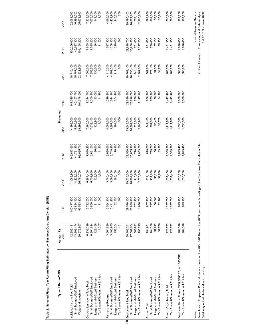| Type of Return/BOD                                                                                                                           | Actual - FY<br>2009 | 2010        | 2011        | 2012        | Projected<br>2013 | 2014        | 2015        | 2016                                              | 2017                     |
|----------------------------------------------------------------------------------------------------------------------------------------------|---------------------|-------------|-------------|-------------|-------------------|-------------|-------------|---------------------------------------------------|--------------------------|
|                                                                                                                                              |                     |             |             |             |                   |             |             |                                                   |                          |
| Individual Income Tax, Total                                                                                                                 | 142,983,431         | 140,477,900 | 141,089,900 | 142,817,600 | 144,999,500       | 147,035,700 | 148,710,100 | 50,256,000                                        | 152,064,500              |
| Small Business/Self Employed                                                                                                                 | 43,309,474          | 43,894,100  | 44,329,200  | 44,731,900  | 45,106,900        | 45,457,700  | 45,787,200  | 46,097,800                                        | 46,391,700               |
| Wage and Investment                                                                                                                          | 99,673,957          | 96,583,800  | 96,760,700  | 98,085,700  | 99,892,600        | 101,578,000 | 102,922,900 | 104,158,200                                       | 105,672,800              |
| Corporation Income Tax, Total                                                                                                                | 6,938,399           | 6,792,600   | 6,887,400   | 7,019,200   | 7,180,200         | 7,344,700   | 7,505,600   | 7,665,100                                         | 7,828,700                |
| Small Business/Self Employed                                                                                                                 | 6,804,624           | 6,660,500   | 6,752,900   | 6,881,500   | 7,039,100         | 7,200,300   | 7,358,700   | 7,515,200                                         | 7,675,700                |
| Large and Mid-Sized Business                                                                                                                 | 122,468             | 121,100     | 123,500     | 126,600     | 129,900           | 133,000     | 135,500     | 138,400                                           | 141,300                  |
| Tax Exempt/Govemment Entities                                                                                                                | 11,307              | 11,000      | 11,000      | 11,100      | 11,300            | 11,400      | 11,500      | 11,600                                            | 11,700                   |
| Partnership Returns                                                                                                                          | 3,564,630           | 3,564,800   | 3,760,400   | 3,928,600   | 4,089,300         | 4,249,800   | 4,410,300   | 4,537,900                                         | 4,666,300                |
| Small Business/Self Employed                                                                                                                 | 3,405,975           | 3,411,900   | 3,593,800   | 3,749,200   | 3,897,200         | 4,044,900   | 4,192,200   | 4,308,300                                         | 4,424,900                |
| Large and Mid-Sized Business                                                                                                                 | 158,204             | 152,400     | 166,100     | 178,900     | 191,500           | 204,400     | 217,400     | 229,000                                           | 240,700                  |
| Tax Exempt/Govemment Entities                                                                                                                | 451                 | 400         | 500         | 500         | 500               | 600         | 600         | 600                                               | 700                      |
| O Employment Tax, Total                                                                                                                      | 30,188,261          | 29,578,100  | 29,535,500  | 29,588,900  | 29,643,600        | 29,699,800  | 29,762,100  | 29,828,700                                        | 29,895,400               |
| Small Business/Self Employed                                                                                                                 | 27,502,604          | 26,889,900  | 26,804,600  | 26,805,200  | 26,809,000        | 26,816,000  | 26,830,400  | 26,850,500                                        | 26,872,600               |
| Large and Mid-Sized Business                                                                                                                 | 688,932             | 702,200     | 710,900     | 720,200     | 728,800           | 736,700     | 744,100     | 751,000                                           | 757,100                  |
| Tax Exempt/Govemment Entities                                                                                                                | 1,996,725           | 1,986,000   | 2,020,000   | 2,063,500   | 2,105,900         | 2,147,100   | 2,187,600   | 2,227,200                                         | 2,265,600                |
| Excise, Total                                                                                                                                | 794,951             | 807,200     | 821,100     | 829,000     | 842,400           | 856,900     | 869,800     | 881,600                                           | 893,900                  |
| Small Business/Self Employed                                                                                                                 | 704,259             | 717,800     | 732,000     | 739,700     | 752,300           | 765,900     | 778,100     | 789,400                                           | 801,000                  |
| Large and Mid-Sized Business                                                                                                                 | 57,912              | 56,600      | 56,200      | 56,200      | 56,400            | 56,800      | 57,000      | 57,100                                            | 57,200                   |
| Tax Exempt/Govemment Entities                                                                                                                | 32,780              | 32,700      | 32,900      | 33,200      | 33,700            | 34,200      | 34,700      | 35,200                                            | 35,600                   |
| Exempt Organization, Total                                                                                                                   | 1,128,732           | 1,287,000   | 1,337,400   | 1,389,300   | 1,417,700         | 1,442,400   | 1,463,200   | 1,481,900                                         | 1,500,000                |
| Tax Exempt/Govemment Entities                                                                                                                | 1,128,732           | 1,287,000   | 1,337,400   | 1,389,300   | 1,417,700         | 1,442,400   | 1,463,200   | 1,481,900                                         | 1,500,000                |
| Employee Plans, Forms 5500, 5500EZ, and 5500SF                                                                                               | 984,528             | 995,400     | 1,030,200   | 1,043,400   | 1,056,600         | 1,069,800   | 1,083,200   | 1,096,400                                         | 1,109,200                |
| Tax Exempt/Government Entities                                                                                                               | 984,528             | 995,400     | 1,030,200   | 1,043,400   | 1,056,600         | 1,069,800   | 1,083,200   | 1,096,400                                         | 1,109,200                |
| Notes:                                                                                                                                       |                     |             |             |             |                   |             |             |                                                   | Internal Revenue Service |
| Projections of Employee Plans returns are based on the 208-18-01 Report; the 2009 count reflects postings to the Employee Plans Master File. |                     |             |             |             |                   |             |             | Office of Research, Forecasting and Data Analysis |                          |
| Detail may not add to total due to rounding.                                                                                                 |                     |             |             |             |                   |             |             |                                                   | Fall 2010 Document 6292  |

Table 2. Selected Fiscal Year Return Filing Estimates by Business Operating Division (BOD) **Table 2. Selected Fiscal Year Return Filing Estimates by Business Operating Division (BOD)**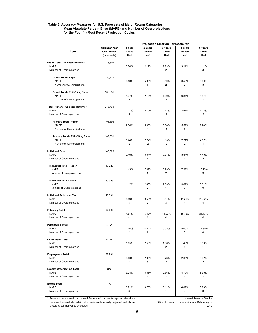#### **Table 3. Accuracy Measures for U.S. Forecasts of Major Return Categories Mean Absolute Percent Error (MAPE) and Number of Overprojections for the Four (4) Most Recent Projection Cycles**

|                                                                                 |                                                      |                          |                             | Projection Error on Forecasts for:                |                           |                                  |
|---------------------------------------------------------------------------------|------------------------------------------------------|--------------------------|-----------------------------|---------------------------------------------------|---------------------------|----------------------------------|
| Item                                                                            | <b>Calendar Year</b><br>2009 Actual *<br>(thousands) | 1 Year<br>Ahead<br>$N=4$ | 2 Years<br>Ahead<br>$N = 4$ | 3 Years<br>Ahead<br>$N=4$                         | 4 Years<br>Ahead<br>$N=4$ | 5 Years<br>Ahead<br>$N = 4$      |
|                                                                                 |                                                      |                          |                             |                                                   |                           |                                  |
| Grand Total - Selected Returns *<br><b>MAPE</b>                                 | 238,304                                              | 0.70%                    | 2.19%                       | 2.83%                                             | 3.11%                     | 4.11%                            |
| Number of Overprojections                                                       |                                                      | 1                        | $\overline{2}$              | $\overline{2}$                                    | 3                         | 3                                |
| <b>Grand Total - Paper</b>                                                      | 130,272                                              |                          |                             |                                                   |                           |                                  |
| <b>MAPE</b><br>Number of Overprojections                                        |                                                      | 3.53%<br>1               | 5.38%<br>$\mathbf{1}$       | 6.59%<br>2                                        | 6.52%<br>$\overline{2}$   | 8.09%<br>3                       |
|                                                                                 |                                                      |                          |                             |                                                   |                           |                                  |
| Grand Total - E-file/ Mag Tape<br><b>MAPE</b>                                   | 108,031                                              | 1.97%                    | 2.16%                       | 1.60%                                             | 0.84%                     | 5.57%                            |
| Number of Overprojections                                                       |                                                      | $\overline{2}$           | $\overline{2}$              | $\overline{2}$                                    | 3                         | 1                                |
| Total Primary - Selected Returns *                                              | 216,430                                              |                          |                             |                                                   |                           |                                  |
| <b>MAPE</b>                                                                     |                                                      | 1.17%                    | 2.10%                       | 2.41%                                             | 3.51%                     | 4.28%                            |
| Number of Overprojections                                                       |                                                      | 1                        | $\mathbf{1}$                | $\overline{2}$                                    | $\mathbf{1}$              | 2                                |
| <b>Primary Total - Paper</b>                                                    | 108,398                                              |                          |                             |                                                   |                           |                                  |
| <b>MAPE</b><br>Number of Overprojections                                        |                                                      | 2.56%<br>$\overline{2}$  | 5.05%<br>$\mathbf{1}$       | 5.58%<br>1                                        | 5.57%<br>$\overline{2}$   | 9.24%<br>3                       |
|                                                                                 |                                                      |                          |                             |                                                   |                           |                                  |
| Primary Total - E-file/ Mag Tape<br><b>MAPE</b>                                 | 108.031                                              | 1.24%                    | 2.72%                       | 3.65%                                             | 2.71%                     | 7.12%                            |
| Number of Overprojections                                                       |                                                      | $\overline{2}$           | $\overline{2}$              | $\overline{2}$                                    | $\overline{2}$            | $\mathbf{1}$                     |
| <b>Individual Total</b>                                                         | 143,526                                              |                          |                             |                                                   |                           |                                  |
| <b>MAPE</b><br>Number of Overprojections                                        |                                                      | 0.49%<br>$\mathbf{1}$    | 3.01%<br>$\mathbf{1}$       | 3.61%<br>1                                        | 3.87%<br>1                | 4.40%<br>$\overline{2}$          |
|                                                                                 |                                                      |                          |                             |                                                   |                           |                                  |
| Individual Total - Paper<br><b>MAPE</b>                                         | 47,223                                               | 1.43%                    | 7.07%                       | 6.99%                                             | 7.23%                     | 15.73%                           |
| Number of Overprojections                                                       |                                                      | $\mathbf{1}$             | $\mathbf{1}$                | $\overline{2}$                                    | 3                         | 3                                |
| Individual Total - E-file                                                       | 95,358                                               |                          |                             |                                                   |                           |                                  |
| MAPE                                                                            |                                                      | 1.12%                    | 2.45%                       | 2.63%                                             | 3.62%                     | 8.61%                            |
| Number of Overprojections                                                       |                                                      | $\mathbf{1}$             | $\overline{2}$              | $\mathbf{1}$                                      | 0                         | 0                                |
| <b>Individual Estimated Tax</b>                                                 | 26,031                                               |                          |                             |                                                   |                           |                                  |
| <b>MAPE</b><br>Number of Overprojections                                        |                                                      | 5.59%<br>3               | 9.68%<br>$\overline{2}$     | 9.51%<br>3                                        | 11.35%<br>4               | 20.22%<br>4                      |
|                                                                                 |                                                      |                          |                             |                                                   |                           |                                  |
| <b>Fiduciary Total</b><br><b>MAPE</b>                                           | 3,096                                                | 1.51%                    | 6.48%                       | 14.06%                                            | 18.73%                    | 21.17%                           |
| Number of Overprojections                                                       |                                                      | 4                        | $\overline{\mathbf{4}}$     | $\overline{\mathbf{4}}$                           | 4                         | 4                                |
| <b>Partnership Total</b>                                                        | 3.424                                                |                          |                             |                                                   |                           |                                  |
| <b>MAPE</b>                                                                     |                                                      | 1.44%                    | 4.04%                       | 5.53%                                             | 9.06%                     | 11.90%                           |
| Number of Overprojections                                                       |                                                      | $\overline{c}$           | 1                           | $\mathbf{1}$                                      | 0                         | 0                                |
| <b>Corporation Total</b>                                                        | 6,774                                                |                          |                             |                                                   |                           |                                  |
| <b>MAPE</b><br>Number of Overprojections                                        |                                                      | 1.65%<br>$\mathbf{1}$    | 2.53%<br>2                  | 1.06%<br>2                                        | 1.48%<br>1                | 3.69%<br>1                       |
|                                                                                 |                                                      |                          |                             |                                                   |                           |                                  |
| <b>Employment Total</b><br><b>MAPE</b>                                          | 29,781                                               | 3.00%                    | 2.90%                       | 3.73%                                             | 2.65%                     | 3.42%                            |
| Number of Overprojections                                                       |                                                      | 3                        | 3                           | 2                                                 | 2                         | 2                                |
| <b>Exempt Organization Total</b>                                                | 872                                                  |                          |                             |                                                   |                           |                                  |
| <b>MAPE</b>                                                                     |                                                      | 3.24%<br>$\overline{2}$  | 5.05%<br>3                  | 2.36%<br>$\overline{c}$                           | 4.70%<br>3                | 6.30%<br>$\overline{\mathbf{c}}$ |
| Number of Overprojections                                                       |                                                      |                          |                             |                                                   |                           |                                  |
| <b>Excise Total</b><br><b>MAPE</b>                                              | 773                                                  | 6.71%                    | 8.73%                       | 8.11%                                             | 4.07%                     | 5.93%                            |
| Number of Overprojections                                                       |                                                      | 3                        | $\overline{2}$              | $\mathbf{1}$                                      | 2                         | 3                                |
| Some actuals shown in this table differ from official counts reported elsewhere |                                                      |                          |                             |                                                   |                           | Internal Revenue Service         |
| because they exclude certain return series only recently projected and whose    |                                                      |                          |                             | Office of Research, Forecasting and Data Analysis |                           |                                  |
| accuracy can not yet be evaluated.                                              |                                                      |                          |                             |                                                   |                           | 2010                             |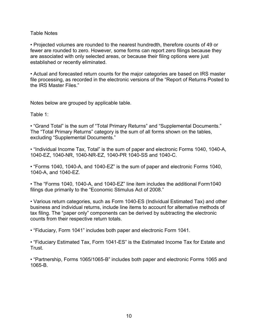## Table Notes

• Projected volumes are rounded to the nearest hundredth, therefore counts of 49 or fewer are rounded to zero. However, some forms can report zero filings because they are associated with only selected areas, or because their filing options were just established or recently eliminated.

• Actual and forecasted return counts for the major categories are based on IRS master file processing, as recorded in the electronic versions of the "Report of Returns Posted to the IRS Master Files."

Notes below are grouped by applicable table.

Table 1:

• "Grand Total" is the sum of "Total Primary Returns" and "Supplemental Documents." The "Total Primary Returns" category is the sum of all forms shown on the tables, excluding "Supplemental Documents."

• "Individual Income Tax, Total" is the sum of paper and electronic Forms 1040, 1040-A, 1040-EZ, 1040-NR, 1040-NR-EZ, 1040-PR 1040-SS and 1040-C.

• "Forms 1040, 1040-A, and 1040-EZ" is the sum of paper and electronic Forms 1040, 1040-A, and 1040-EZ.

• The "Forms 1040, 1040-A, and 1040-EZ" line item includes the additional Form1040 filings due primarily to the "Economic Stimulus Act of 2008."

• Various return categories, such as Form 1040-ES (Individual Estimated Tax) and other business and individual returns, include line items to account for alternative methods of tax filing. The "paper only" components can be derived by subtracting the electronic counts from their respective return totals.

• "Fiduciary, Form 1041" includes both paper and electronic Form 1041.

• "Fiduciary Estimated Tax, Form 1041-ES" is the Estimated Income Tax for Estate and Trust.

• "Partnership, Forms 1065/1065-B" includes both paper and electronic Forms 1065 and 1065-B.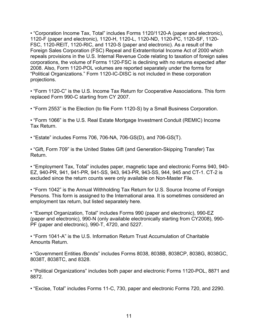• "Corporation Income Tax, Total" includes Forms 1120/1120-A (paper and electronic), 1120-F (paper and electronic), 1120-H, 1120-L, 1120-ND, 1120-PC, 1120-SF, 1120- FSC, 1120-REIT, 1120-RIC, and 1120-S (paper and electronic). As a result of the Foreign Sales Corporation (FSC) Repeal and Extraterritorial Income Act of 2000 which repeals provisions in the U.S. Internal Revenue Code relating to taxation of foreign sales corporations, the volume of Forms 1120-FSC is declining with no returns expected after 2008. Also, Form 1120-POL volumes are reported separately under the forms for "Political Organizations." Form 1120-IC-DISC is not included in these corporation projections.

• "Form 1120-C" is the U.S. Income Tax Return for Cooperative Associations. This form replaced Form 990-C starting from CY 2007.

• "Form 2553" is the Election (to file Form 1120-S) by a Small Business Corporation.

• "Form 1066" is the U.S. Real Estate Mortgage Investment Conduit (REMIC) Income Tax Return.

• "Estate" includes Forms 706, 706-NA, 706-GS(D), and 706-GS(T).

• "Gift, Form 709" is the United States Gift (and Generation-Skipping Transfer) Tax Return.

• "Employment Tax, Total" includes paper, magnetic tape and electronic Forms 940, 940- EZ, 940-PR, 941, 941-PR, 941-SS, 943, 943-PR, 943-SS, 944, 945 and CT-1. CT-2 is excluded since the return counts were only available on Non-Master File.

• "Form 1042" is the Annual Withholding Tax Return for U.S. Source Income of Foreign Persons. This form is assigned to the International area. It is sometimes considered an employment tax return, but listed separately here.

• "Exempt Organization, Total" includes Forms 990 (paper and electronic), 990-EZ (paper and electronic), 990-N (only available electronically starting from CY2008), 990- PF (paper and electronic), 990-T, 4720, and 5227.

• "Form 1041-A" is the U.S. Information Return Trust Accumulation of Charitable Amounts Return.

• "Government Entities /Bonds" includes Forms 8038, 8038B, 8038CP, 8038G, 8038GC, 8038T, 8038TC, and 8328.

• "Political Organizations" includes both paper and electronic Forms 1120-POL, 8871 and 8872.

• "Excise, Total" includes Forms 11-C, 730, paper and electronic Forms 720, and 2290.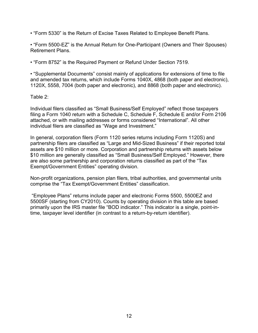• "Form 5330" is the Return of Excise Taxes Related to Employee Benefit Plans.

• "Form 5500-EZ" is the Annual Return for One-Participant (Owners and Their Spouses) Retirement Plans.

• "Form 8752" is the Required Payment or Refund Under Section 7519.

• "Supplemental Documents" consist mainly of applications for extensions of time to file and amended tax returns, which include Forms 1040X, 4868 (both paper and electronic), 1120X, 5558, 7004 (both paper and electronic), and 8868 (both paper and electronic).

Table 2:

Individual filers classified as "Small Business/Self Employed" reflect those taxpayers filing a Form 1040 return with a Schedule C, Schedule F, Schedule E and/or Form 2106 attached, or with mailing addresses or forms considered "International". All other individual filers are classified as "Wage and Investment."

In general, corporation filers (Form 1120 series returns including Form 1120S) and partnership filers are classified as "Large and Mid-Sized Business" if their reported total assets are \$10 million or more. Corporation and partnership returns with assets below \$10 million are generally classified as "Small Business/Self Employed." However, there are also some partnership and corporation returns classified as part of the "Tax Exempt/Government Entities" operating division.

Non-profit organizations, pension plan filers, tribal authorities, and governmental units comprise the "Tax Exempt/Government Entities" classification.

 "Employee Plans" returns include paper and electronic Forms 5500, 5500EZ and 5500SF (starting from CY2010). Counts by operating division in this table are based primarily upon the IRS master file "BOD indicator." This indicator is a single, point-intime, taxpayer level identifier (in contrast to a return-by-return identifier).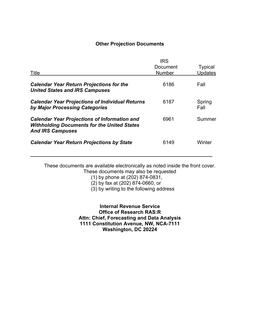## **Other Projection Documents**

| Title                                                                                                                                | <b>IRS</b><br>Document<br><b>Number</b> | <b>Typical</b><br><b>Updates</b> |
|--------------------------------------------------------------------------------------------------------------------------------------|-----------------------------------------|----------------------------------|
| <b>Calendar Year Return Projections for the</b><br><b>United States and IRS Campuses</b>                                             | 6186                                    | Fall                             |
| <b>Calendar Year Projections of Individual Returns</b><br>by Major Processing Categories                                             | 6187                                    | Spring<br>Fall                   |
| <b>Calendar Year Projections of Information and</b><br><b>Withholding Documents for the United States</b><br><b>And IRS Campuses</b> | 6961                                    | Summer                           |
| <b>Calendar Year Return Projections by State</b>                                                                                     | 6149                                    | Winter                           |

These documents are available electronically as noted inside the front cover. These documents may also be requested

(1) by phone at (202) 874-0831,

(2) by fax at (202) 874-0660, or

(3) by writing to the following address

**Internal Revenue Service Office of Research RAS:R Attn: Chief, Forecasting and Data Analysis 1111 Constitution Avenue, NW, NCA-7111 Washington, DC 20224**